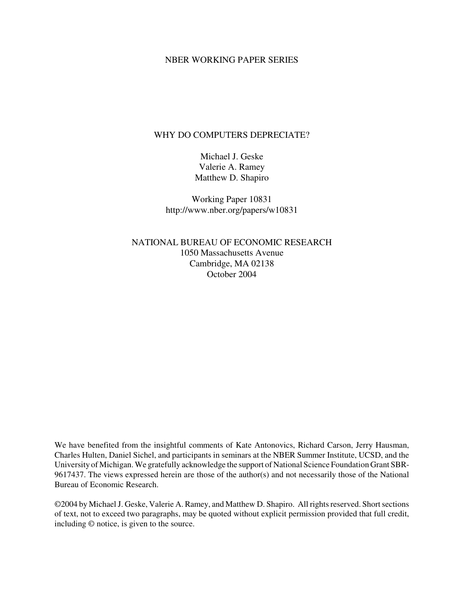### NBER WORKING PAPER SERIES

## WHY DO COMPUTERS DEPRECIATE?

Michael J. Geske Valerie A. Ramey Matthew D. Shapiro

Working Paper 10831 http://www.nber.org/papers/w10831

NATIONAL BUREAU OF ECONOMIC RESEARCH 1050 Massachusetts Avenue Cambridge, MA 02138 October 2004

We have benefited from the insightful comments of Kate Antonovics, Richard Carson, Jerry Hausman, Charles Hulten, Daniel Sichel, and participants in seminars at the NBER Summer Institute, UCSD, and the University of Michigan.We gratefully acknowledge the support of National Science Foundation Grant SBR-9617437. The views expressed herein are those of the author(s) and not necessarily those of the National Bureau of Economic Research.

©2004 by Michael J. Geske, Valerie A. Ramey, and Matthew D. Shapiro. All rights reserved. Short sections of text, not to exceed two paragraphs, may be quoted without explicit permission provided that full credit, including © notice, is given to the source.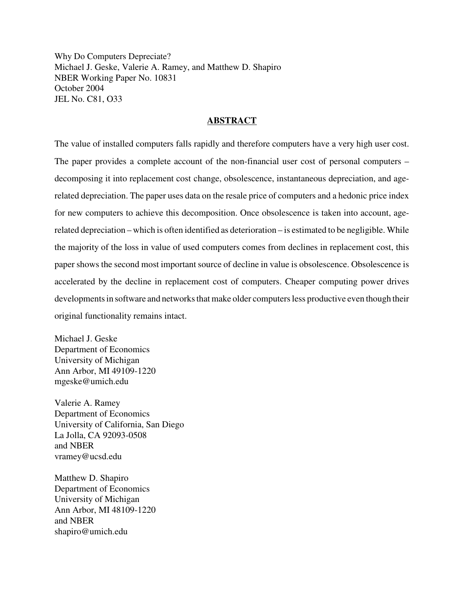Why Do Computers Depreciate? Michael J. Geske, Valerie A. Ramey, and Matthew D. Shapiro NBER Working Paper No. 10831 October 2004 JEL No. C81, O33

## **ABSTRACT**

The value of installed computers falls rapidly and therefore computers have a very high user cost. The paper provides a complete account of the non-financial user cost of personal computers – decomposing it into replacement cost change, obsolescence, instantaneous depreciation, and agerelated depreciation. The paper uses data on the resale price of computers and a hedonic price index for new computers to achieve this decomposition. Once obsolescence is taken into account, agerelated depreciation – which is often identified as deterioration – is estimated to be negligible. While the majority of the loss in value of used computers comes from declines in replacement cost, this paper shows the second most important source of decline in value is obsolescence. Obsolescence is accelerated by the decline in replacement cost of computers. Cheaper computing power drives developments in software and networks that make older computers less productive even though their original functionality remains intact.

Michael J. Geske Department of Economics University of Michigan Ann Arbor, MI 49109-1220 mgeske@umich.edu

Valerie A. Ramey Department of Economics University of California, San Diego La Jolla, CA 92093-0508 and NBER vramey@ucsd.edu

Matthew D. Shapiro Department of Economics University of Michigan Ann Arbor, MI 48109-1220 and NBER shapiro@umich.edu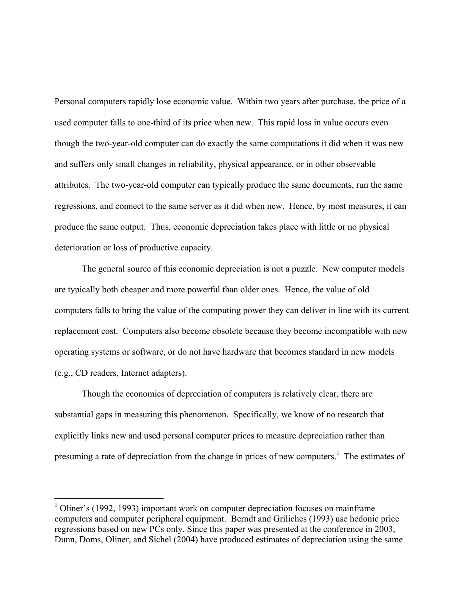Personal computers rapidly lose economic value. Within two years after purchase, the price of a used computer falls to one-third of its price when new. This rapid loss in value occurs even though the two-year-old computer can do exactly the same computations it did when it was new and suffers only small changes in reliability, physical appearance, or in other observable attributes. The two-year-old computer can typically produce the same documents, run the same regressions, and connect to the same server as it did when new. Hence, by most measures, it can produce the same output. Thus, economic depreciation takes place with little or no physical deterioration or loss of productive capacity.

The general source of this economic depreciation is not a puzzle. New computer models are typically both cheaper and more powerful than older ones. Hence, the value of old computers falls to bring the value of the computing power they can deliver in line with its current replacement cost. Computers also become obsolete because they become incompatible with new operating systems or software, or do not have hardware that becomes standard in new models (e.g., CD readers, Internet adapters).

Though the economics of depreciation of computers is relatively clear, there are substantial gaps in measuring this phenomenon. Specifically, we know of no research that explicitly links new and used personal computer prices to measure depreciation rather than presuming a rate of depreciation from the change in prices of new computers.<sup>1</sup> The estimates of

 $\overline{a}$ 

<sup>&</sup>lt;sup>1</sup> Oliner's (1992, 1993) important work on computer depreciation focuses on mainframe computers and computer peripheral equipment. Berndt and Griliches (1993) use hedonic price regressions based on new PCs only. Since this paper was presented at the conference in 2003, Dunn, Doms, Oliner, and Sichel (2004) have produced estimates of depreciation using the same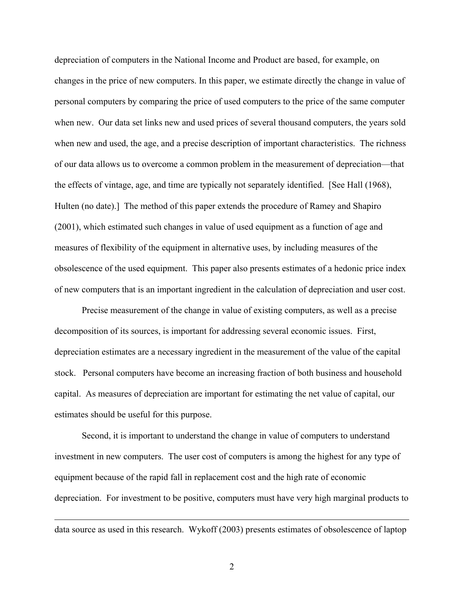depreciation of computers in the National Income and Product are based, for example, on changes in the price of new computers. In this paper, we estimate directly the change in value of personal computers by comparing the price of used computers to the price of the same computer when new. Our data set links new and used prices of several thousand computers, the years sold when new and used, the age, and a precise description of important characteristics. The richness of our data allows us to overcome a common problem in the measurement of depreciation—that the effects of vintage, age, and time are typically not separately identified. [See Hall (1968), Hulten (no date).] The method of this paper extends the procedure of Ramey and Shapiro (2001), which estimated such changes in value of used equipment as a function of age and measures of flexibility of the equipment in alternative uses, by including measures of the obsolescence of the used equipment. This paper also presents estimates of a hedonic price index of new computers that is an important ingredient in the calculation of depreciation and user cost.

Precise measurement of the change in value of existing computers, as well as a precise decomposition of its sources, is important for addressing several economic issues. First, depreciation estimates are a necessary ingredient in the measurement of the value of the capital stock. Personal computers have become an increasing fraction of both business and household capital. As measures of depreciation are important for estimating the net value of capital, our estimates should be useful for this purpose.

Second, it is important to understand the change in value of computers to understand investment in new computers. The user cost of computers is among the highest for any type of equipment because of the rapid fall in replacement cost and the high rate of economic depreciation. For investment to be positive, computers must have very high marginal products to

data source as used in this research. Wykoff (2003) presents estimates of obsolescence of laptop

 $\overline{a}$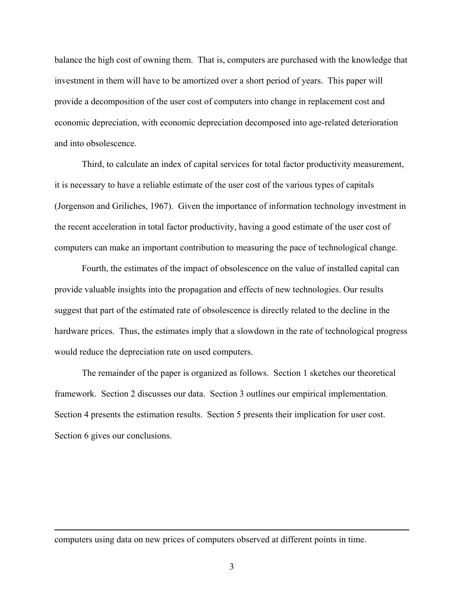balance the high cost of owning them. That is, computers are purchased with the knowledge that investment in them will have to be amortized over a short period of years. This paper will provide a decomposition of the user cost of computers into change in replacement cost and economic depreciation, with economic depreciation decomposed into age-related deterioration and into obsolescence.

Third, to calculate an index of capital services for total factor productivity measurement, it is necessary to have a reliable estimate of the user cost of the various types of capitals (Jorgenson and Griliches, 1967). Given the importance of information technology investment in the recent acceleration in total factor productivity, having a good estimate of the user cost of computers can make an important contribution to measuring the pace of technological change.

Fourth, the estimates of the impact of obsolescence on the value of installed capital can provide valuable insights into the propagation and effects of new technologies. Our results suggest that part of the estimated rate of obsolescence is directly related to the decline in the hardware prices. Thus, the estimates imply that a slowdown in the rate of technological progress would reduce the depreciation rate on used computers.

The remainder of the paper is organized as follows. Section 1 sketches our theoretical framework. Section 2 discusses our data. Section 3 outlines our empirical implementation. Section 4 presents the estimation results. Section 5 presents their implication for user cost. Section 6 gives our conclusions.

computers using data on new prices of computers observed at different points in time.

<u>.</u>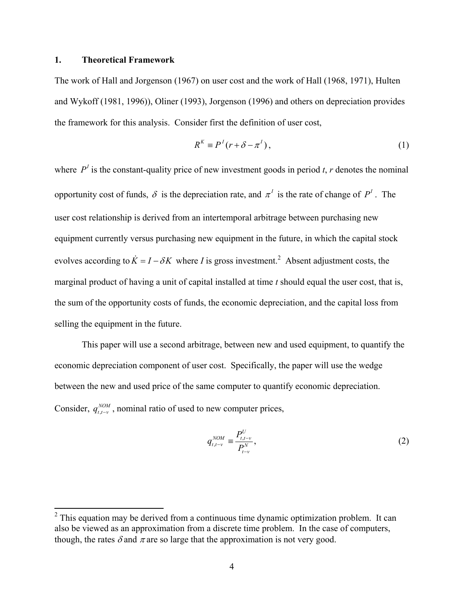## **1. Theoretical Framework**

The work of Hall and Jorgenson (1967) on user cost and the work of Hall (1968, 1971), Hulten and Wykoff (1981, 1996)), Oliner (1993), Jorgenson (1996) and others on depreciation provides the framework for this analysis. Consider first the definition of user cost,

$$
R^K \equiv P^I(r + \delta - \pi^I), \tag{1}
$$

where  $P<sup>T</sup>$  is the constant-quality price of new investment goods in period *t*, *r* denotes the nominal opportunity cost of funds,  $\delta$  is the depreciation rate, and  $\pi^I$  is the rate of change of  $P^I$ . The user cost relationship is derived from an intertemporal arbitrage between purchasing new equipment currently versus purchasing new equipment in the future, in which the capital stock evolves according to  $\dot{K} = I - \delta K$  where *I* is gross investment.<sup>2</sup> Absent adjustment costs, the marginal product of having a unit of capital installed at time *t* should equal the user cost, that is, the sum of the opportunity costs of funds, the economic depreciation, and the capital loss from selling the equipment in the future.

 This paper will use a second arbitrage, between new and used equipment, to quantify the economic depreciation component of user cost. Specifically, the paper will use the wedge between the new and used price of the same computer to quantify economic depreciation. Consider,  $q_{t,t-v}^{NOM}$ , nominal ratio of used to new computer prices,

$$
q_{t,t-v}^{NOM} \equiv \frac{P_{t,t-v}^U}{P_{t-v}^N},
$$
 (2)

<sup>&</sup>lt;sup>2</sup> This equation may be derived from a continuous time dynamic optimization problem. It can also be viewed as an approximation from a discrete time problem. In the case of computers, though, the rates  $\delta$  and  $\pi$  are so large that the approximation is not very good.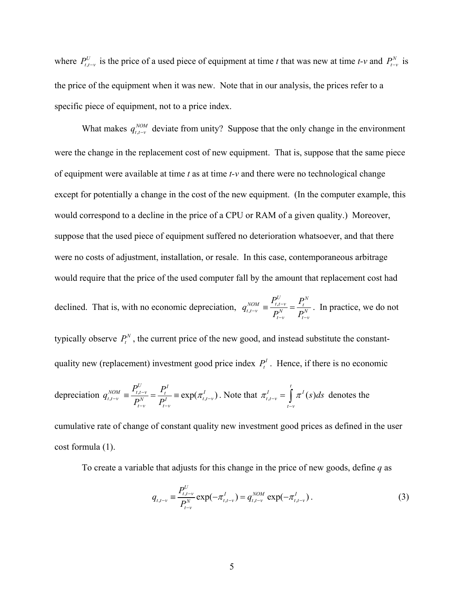where  $P_{t,t-v}^U$  is the price of a used piece of equipment at time *t* that was new at time *t*-v and  $P_{t-v}^N$  is the price of the equipment when it was new. Note that in our analysis, the prices refer to a specific piece of equipment, not to a price index.

What makes  $q_{i,t-v}^{NOM}$  deviate from unity? Suppose that the only change in the environment were the change in the replacement cost of new equipment. That is, suppose that the same piece of equipment were available at time *t* as at time *t-v* and there were no technological change except for potentially a change in the cost of the new equipment. (In the computer example, this would correspond to a decline in the price of a CPU or RAM of a given quality.) Moreover, suppose that the used piece of equipment suffered no deterioration whatsoever, and that there were no costs of adjustment, installation, or resale. In this case, contemporaneous arbitrage would require that the price of the used computer fall by the amount that replacement cost had

declined. That is, with no economic depreciation,  $q_{t,t-v}^{NOM} = \frac{I_t}{R}$  $U$  *n*<sup>N</sup>  $NOM = \frac{I_{t,t-v}}{I} = \frac{I_t}{I}$  $t, t - v$  **D** $N$  **D** $N$  $t-v$   $\qquad$   $t-v$  $P_{t,t-\nu}^U \equiv P_{t}$  $q_{t,t-v}^{NOM} \equiv \frac{I_{t,t-v}}{P_{t-v}^N} = \frac{I_t}{P_t}$ −  $-v$   $\qquad$   $t \equiv \frac{I_{t,t-v}}{R} = \frac{I_t}{R}$ . In practice, we do not

typically observe  $P_t^N$ , the current price of the new good, and instead substitute the constantquality new (replacement) investment good price index  $P_t^I$ . Hence, if there is no economic

depreciation 
$$
q_{t,t-v}^{NOM} \equiv \frac{P_{t,t-v}^U}{P_{t-v}^N} = \frac{P_t^I}{P_{t-v}^I} \equiv \exp(\pi_{t,t-v}^I)
$$
. Note that  $\pi_{t,t-v}^I = \int_{t-v}^t \pi^I(s)ds$  denotes the

cumulative rate of change of constant quality new investment good prices as defined in the user cost formula (1).

To create a variable that adjusts for this change in the price of new goods, define *q* as

$$
q_{t,t-v} = \frac{P_{t,t-v}^U}{P_{t-v}^N} \exp(-\pi_{t,t-v}^I) = q_{t,t-v}^{NOM} \exp(-\pi_{t,t-v}^I).
$$
 (3)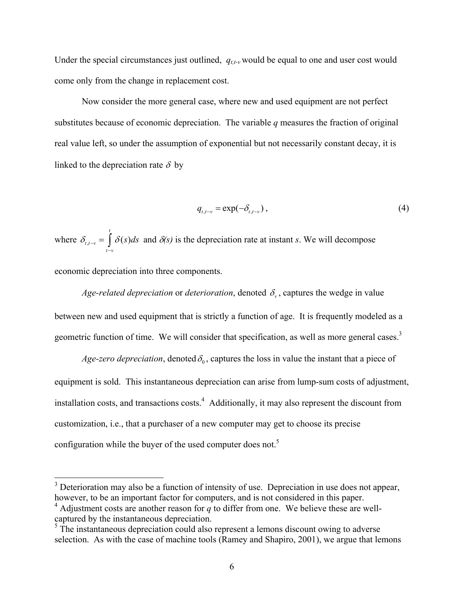Under the special circumstances just outlined, *qt,t-v* would be equal to one and user cost would come only from the change in replacement cost.

 Now consider the more general case, where new and used equipment are not perfect substitutes because of economic depreciation. The variable *q* measures the fraction of original real value left, so under the assumption of exponential but not necessarily constant decay, it is linked to the depreciation rate  $\delta$  by

$$
q_{t,t-v} = \exp(-\delta_{t,t-v}), \qquad (4)
$$

where  $\delta_{t,t-v} = |\delta(s)|$ *t*  $t, t-v$  $t - v$  $\delta_{t,t-v} = \left( \delta(s) ds \right)$  $=\int_{t-v} \delta(s) ds$  and  $\delta(s)$  is the depreciation rate at instant *s*. We will decompose

economic depreciation into three components.

*Age-related depreciation* or *deterioration*, denoted  $\delta_{\nu}$ , captures the wedge in value between new and used equipment that is strictly a function of age. It is frequently modeled as a geometric function of time. We will consider that specification, as well as more general cases.3 

*Age-zero depreciation*, denoted  $\delta_0$ , captures the loss in value the instant that a piece of equipment is sold. This instantaneous depreciation can arise from lump-sum costs of adjustment, installation costs, and transactions  $costs^4$ . Additionally, it may also represent the discount from customization, i.e., that a purchaser of a new computer may get to choose its precise configuration while the buyer of the used computer does not.<sup>5</sup>

<sup>&</sup>lt;sup>3</sup> Deterioration may also be a function of intensity of use. Depreciation in use does not appear, however, to be an important factor for computers, and is not considered in this paper.

 $4$  Adjustment costs are another reason for  $q$  to differ from one. We believe these are wellcaptured by the instantaneous depreciation.

 $5$  The instantaneous depreciation could also represent a lemons discount owing to adverse selection. As with the case of machine tools (Ramey and Shapiro, 2001), we argue that lemons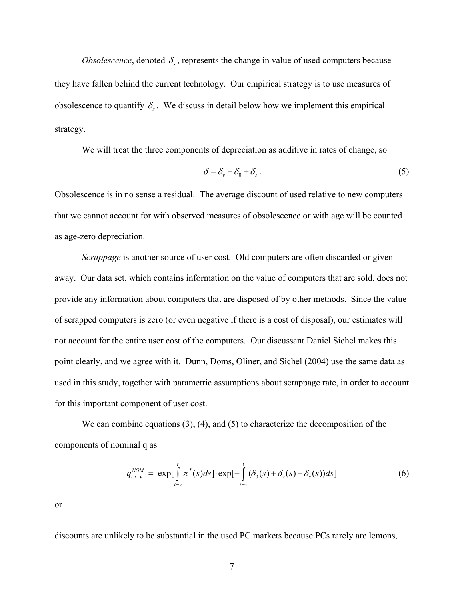*Obsolescence*, denoted  $\delta_{\rm s}$ , represents the change in value of used computers because they have fallen behind the current technology. Our empirical strategy is to use measures of obsolescence to quantify  $\delta_{\rm s}$ . We discuss in detail below how we implement this empirical strategy.

We will treat the three components of depreciation as additive in rates of change, so

$$
\delta = \delta_{v} + \delta_{0} + \delta_{s} \,. \tag{5}
$$

Obsolescence is in no sense a residual. The average discount of used relative to new computers that we cannot account for with observed measures of obsolescence or with age will be counted as age-zero depreciation.

*Scrappage* is another source of user cost. Old computers are often discarded or given away. Our data set, which contains information on the value of computers that are sold, does not provide any information about computers that are disposed of by other methods. Since the value of scrapped computers is zero (or even negative if there is a cost of disposal), our estimates will not account for the entire user cost of the computers. Our discussant Daniel Sichel makes this point clearly, and we agree with it. Dunn, Doms, Oliner, and Sichel (2004) use the same data as used in this study, together with parametric assumptions about scrappage rate, in order to account for this important component of user cost.

 We can combine equations (3), (4), and (5) to characterize the decomposition of the components of nominal q as

$$
q_{t,t-v}^{NOM} = \exp[\int_{t-v}^{t} \pi^{I}(s)ds] \cdot \exp[-\int_{t-v}^{t} (\delta_{0}(s) + \delta_{v}(s) + \delta_{s}(s))ds]
$$
(6)

or

 $\overline{a}$ 

discounts are unlikely to be substantial in the used PC markets because PCs rarely are lemons,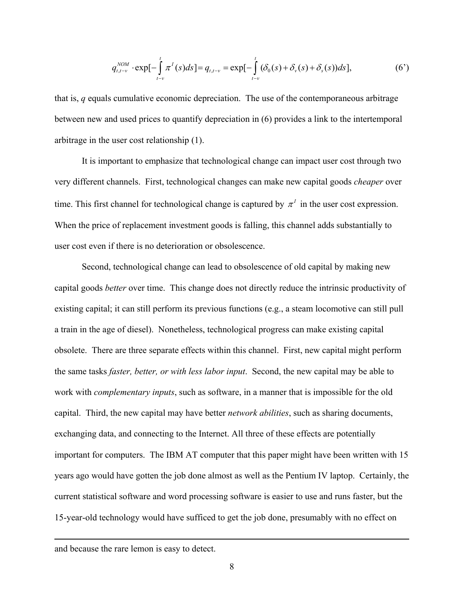$$
q_{t,t-v}^{NOM} \cdot \exp[-\int_{t-v}^{t} \pi^{I}(s)ds] = q_{t,t-v} = \exp[-\int_{t-v}^{t} (\delta_{0}(s) + \delta_{v}(s) + \delta_{s}(s))ds], \tag{6'}
$$

that is, *q* equals cumulative economic depreciation. The use of the contemporaneous arbitrage between new and used prices to quantify depreciation in (6) provides a link to the intertemporal arbitrage in the user cost relationship (1).

It is important to emphasize that technological change can impact user cost through two very different channels. First, technological changes can make new capital goods *cheaper* over time. This first channel for technological change is captured by  $\pi^I$  in the user cost expression. When the price of replacement investment goods is falling, this channel adds substantially to user cost even if there is no deterioration or obsolescence.

Second, technological change can lead to obsolescence of old capital by making new capital goods *better* over time. This change does not directly reduce the intrinsic productivity of existing capital; it can still perform its previous functions (e.g., a steam locomotive can still pull a train in the age of diesel). Nonetheless, technological progress can make existing capital obsolete. There are three separate effects within this channel. First, new capital might perform the same tasks *faster, better, or with less labor input*. Second, the new capital may be able to work with *complementary inputs*, such as software, in a manner that is impossible for the old capital. Third, the new capital may have better *network abilities*, such as sharing documents, exchanging data, and connecting to the Internet. All three of these effects are potentially important for computers. The IBM AT computer that this paper might have been written with 15 years ago would have gotten the job done almost as well as the Pentium IV laptop. Certainly, the current statistical software and word processing software is easier to use and runs faster, but the 15-year-old technology would have sufficed to get the job done, presumably with no effect on

and because the rare lemon is easy to detect.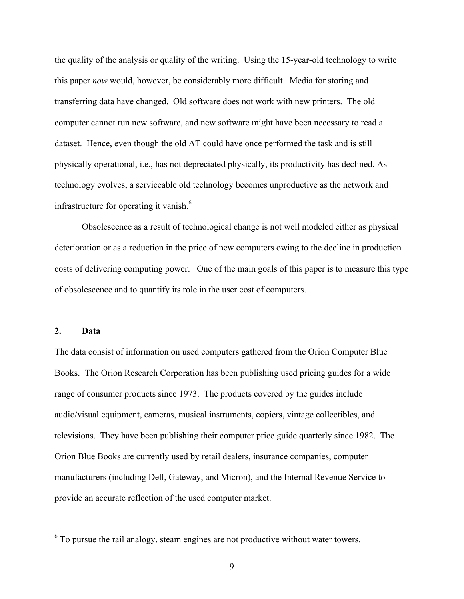the quality of the analysis or quality of the writing. Using the 15-year-old technology to write this paper *now* would, however, be considerably more difficult. Media for storing and transferring data have changed. Old software does not work with new printers. The old computer cannot run new software, and new software might have been necessary to read a dataset. Hence, even though the old AT could have once performed the task and is still physically operational, i.e., has not depreciated physically, its productivity has declined. As technology evolves, a serviceable old technology becomes unproductive as the network and infrastructure for operating it vanish.<sup>6</sup>

Obsolescence as a result of technological change is not well modeled either as physical deterioration or as a reduction in the price of new computers owing to the decline in production costs of delivering computing power. One of the main goals of this paper is to measure this type of obsolescence and to quantify its role in the user cost of computers.

# **2. Data**

<u>.</u>

The data consist of information on used computers gathered from the Orion Computer Blue Books. The Orion Research Corporation has been publishing used pricing guides for a wide range of consumer products since 1973. The products covered by the guides include audio/visual equipment, cameras, musical instruments, copiers, vintage collectibles, and televisions. They have been publishing their computer price guide quarterly since 1982. The Orion Blue Books are currently used by retail dealers, insurance companies, computer manufacturers (including Dell, Gateway, and Micron), and the Internal Revenue Service to provide an accurate reflection of the used computer market.

 $6$  To pursue the rail analogy, steam engines are not productive without water towers.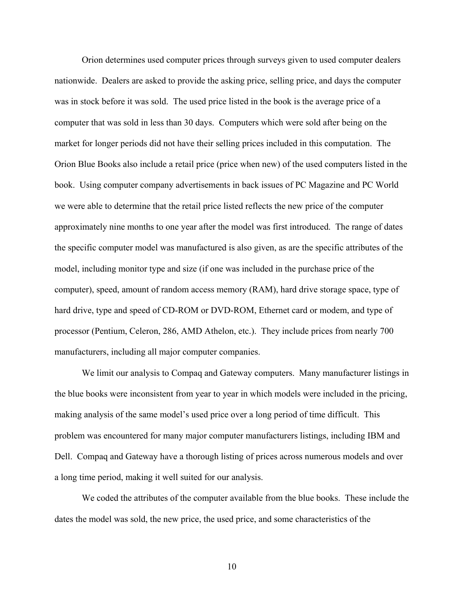Orion determines used computer prices through surveys given to used computer dealers nationwide. Dealers are asked to provide the asking price, selling price, and days the computer was in stock before it was sold. The used price listed in the book is the average price of a computer that was sold in less than 30 days. Computers which were sold after being on the market for longer periods did not have their selling prices included in this computation. The Orion Blue Books also include a retail price (price when new) of the used computers listed in the book. Using computer company advertisements in back issues of PC Magazine and PC World we were able to determine that the retail price listed reflects the new price of the computer approximately nine months to one year after the model was first introduced. The range of dates the specific computer model was manufactured is also given, as are the specific attributes of the model, including monitor type and size (if one was included in the purchase price of the computer), speed, amount of random access memory (RAM), hard drive storage space, type of hard drive, type and speed of CD-ROM or DVD-ROM, Ethernet card or modem, and type of processor (Pentium, Celeron, 286, AMD Athelon, etc.). They include prices from nearly 700 manufacturers, including all major computer companies.

We limit our analysis to Compaq and Gateway computers. Many manufacturer listings in the blue books were inconsistent from year to year in which models were included in the pricing, making analysis of the same model's used price over a long period of time difficult. This problem was encountered for many major computer manufacturers listings, including IBM and Dell. Compaq and Gateway have a thorough listing of prices across numerous models and over a long time period, making it well suited for our analysis.

We coded the attributes of the computer available from the blue books. These include the dates the model was sold, the new price, the used price, and some characteristics of the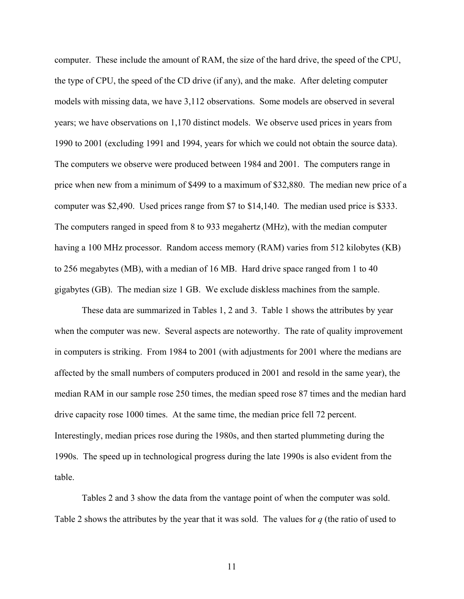computer. These include the amount of RAM, the size of the hard drive, the speed of the CPU, the type of CPU, the speed of the CD drive (if any), and the make. After deleting computer models with missing data, we have 3,112 observations. Some models are observed in several years; we have observations on 1,170 distinct models. We observe used prices in years from 1990 to 2001 (excluding 1991 and 1994, years for which we could not obtain the source data). The computers we observe were produced between 1984 and 2001. The computers range in price when new from a minimum of \$499 to a maximum of \$32,880. The median new price of a computer was \$2,490. Used prices range from \$7 to \$14,140. The median used price is \$333. The computers ranged in speed from 8 to 933 megahertz (MHz), with the median computer having a 100 MHz processor. Random access memory (RAM) varies from 512 kilobytes (KB) to 256 megabytes (MB), with a median of 16 MB. Hard drive space ranged from 1 to 40 gigabytes (GB). The median size 1 GB. We exclude diskless machines from the sample.

These data are summarized in Tables 1, 2 and 3. Table 1 shows the attributes by year when the computer was new. Several aspects are noteworthy. The rate of quality improvement in computers is striking. From 1984 to 2001 (with adjustments for 2001 where the medians are affected by the small numbers of computers produced in 2001 and resold in the same year), the median RAM in our sample rose 250 times, the median speed rose 87 times and the median hard drive capacity rose 1000 times. At the same time, the median price fell 72 percent. Interestingly, median prices rose during the 1980s, and then started plummeting during the 1990s. The speed up in technological progress during the late 1990s is also evident from the table.

Tables 2 and 3 show the data from the vantage point of when the computer was sold. Table 2 shows the attributes by the year that it was sold. The values for *q* (the ratio of used to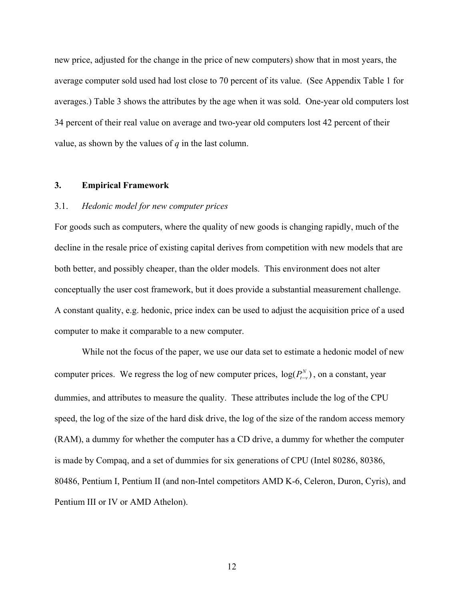new price, adjusted for the change in the price of new computers) show that in most years, the average computer sold used had lost close to 70 percent of its value. (See Appendix Table 1 for averages.) Table 3 shows the attributes by the age when it was sold. One-year old computers lost 34 percent of their real value on average and two-year old computers lost 42 percent of their value, as shown by the values of *q* in the last column.

## **3. Empirical Framework**

## 3.1. *Hedonic model for new computer prices*

For goods such as computers, where the quality of new goods is changing rapidly, much of the decline in the resale price of existing capital derives from competition with new models that are both better, and possibly cheaper, than the older models. This environment does not alter conceptually the user cost framework, but it does provide a substantial measurement challenge. A constant quality, e.g. hedonic, price index can be used to adjust the acquisition price of a used computer to make it comparable to a new computer.

While not the focus of the paper, we use our data set to estimate a hedonic model of new computer prices. We regress the log of new computer prices,  $log(P_{t,v}^{N})$ , on a constant, year dummies, and attributes to measure the quality. These attributes include the log of the CPU speed, the log of the size of the hard disk drive, the log of the size of the random access memory (RAM), a dummy for whether the computer has a CD drive, a dummy for whether the computer is made by Compaq, and a set of dummies for six generations of CPU (Intel 80286, 80386, 80486, Pentium I, Pentium II (and non-Intel competitors AMD K-6, Celeron, Duron, Cyris), and Pentium III or IV or AMD Athelon).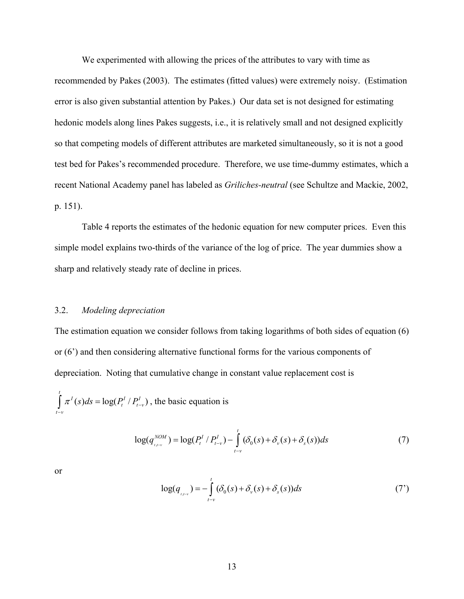We experimented with allowing the prices of the attributes to vary with time as recommended by Pakes (2003). The estimates (fitted values) were extremely noisy. (Estimation error is also given substantial attention by Pakes.) Our data set is not designed for estimating hedonic models along lines Pakes suggests, i.e., it is relatively small and not designed explicitly so that competing models of different attributes are marketed simultaneously, so it is not a good test bed for Pakes's recommended procedure. Therefore, we use time-dummy estimates, which a recent National Academy panel has labeled as *Griliches-neutral* (see Schultze and Mackie, 2002, p. 151).

Table 4 reports the estimates of the hedonic equation for new computer prices. Even this simple model explains two-thirds of the variance of the log of price. The year dummies show a sharp and relatively steady rate of decline in prices.

#### 3.2. *Modeling depreciation*

The estimation equation we consider follows from taking logarithms of both sides of equation (6) or (6') and then considering alternative functional forms for the various components of depreciation. Noting that cumulative change in constant value replacement cost is

 $(s)ds = \log (P_t^I/P_{t-v}^I)$ *t*  $I(a)$ <sub>*ds*</sub>  $=$   $\log(D^I/D^I)$  $t \left( t-t-v \right)$  $t - v$  $\pi^{I}(s)ds = \log(P_{t}^{I}/P_{t-}^{I})$  $\int_{-\nu}^{\nu} \pi^{I}(s) ds = \log(P_{t}^{I} / P_{t-\nu}^{I})$ , the basic equation is

$$
\log(q_{_{t,s-v}}^{NOM}) = \log(P_t^1/P_{t-v}^1) - \int_{t-v}^t (\delta_0(s) + \delta_v(s) + \delta_s(s))ds
$$
 (7)

or

$$
\log(q_{x,y}) = -\int_{t-y}^{t} (\delta_0(s) + \delta_y(s) + \delta_s(s))ds
$$
 (7')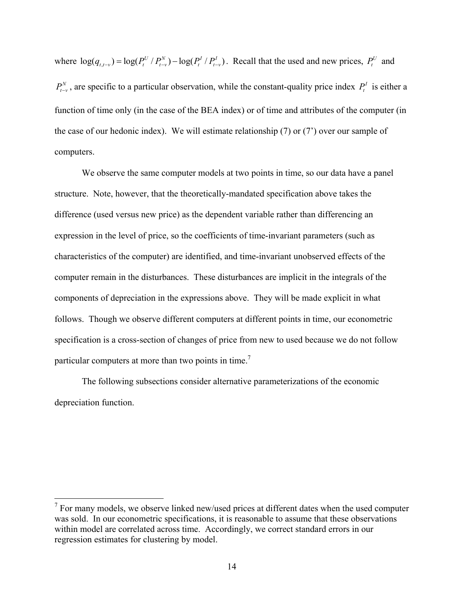where  $\log(q_{t,t-v}) = \log(P_t^U/P_{t-v}^N) - \log(P_t^U/P_{t-v}^I)$ . Recall that the used and new prices,  $P_t^U$  and  $P_{t-v}^{N}$ , are specific to a particular observation, while the constant-quality price index  $P_{t}^{I}$  is either a function of time only (in the case of the BEA index) or of time and attributes of the computer (in the case of our hedonic index). We will estimate relationship (7) or (7') over our sample of computers.

We observe the same computer models at two points in time, so our data have a panel structure. Note, however, that the theoretically-mandated specification above takes the difference (used versus new price) as the dependent variable rather than differencing an expression in the level of price, so the coefficients of time-invariant parameters (such as characteristics of the computer) are identified, and time-invariant unobserved effects of the computer remain in the disturbances. These disturbances are implicit in the integrals of the components of depreciation in the expressions above. They will be made explicit in what follows. Though we observe different computers at different points in time, our econometric specification is a cross-section of changes of price from new to used because we do not follow particular computers at more than two points in time.<sup>7</sup>

 The following subsections consider alternative parameterizations of the economic depreciation function.

 $<sup>7</sup>$  For many models, we observe linked new/used prices at different dates when the used computer</sup> was sold. In our econometric specifications, it is reasonable to assume that these observations within model are correlated across time. Accordingly, we correct standard errors in our regression estimates for clustering by model.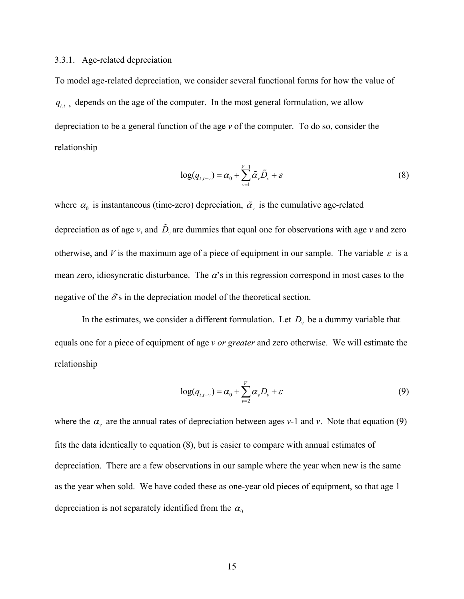## 3.3.1. Age-related depreciation

To model age-related depreciation, we consider several functional forms for how the value of  $q_{t,t-v}$  depends on the age of the computer. In the most general formulation, we allow depreciation to be a general function of the age *v* of the computer. To do so, consider the relationship

$$
\log(q_{t,t-v}) = \alpha_0 + \sum_{v=1}^{V-1} \tilde{\alpha}_v \tilde{D}_v + \varepsilon
$$
\n(8)

where  $\alpha_0$  is instantaneous (time-zero) depreciation,  $\tilde{\alpha}_v$  is the cumulative age-related depreciation as of age *v*, and  $\tilde{D}_v$  are dummies that equal one for observations with age *v* and zero otherwise, and *V* is the maximum age of a piece of equipment in our sample. The variable  $\varepsilon$  is a mean zero, idiosyncratic disturbance. The  $\alpha$ 's in this regression correspond in most cases to the negative of the  $\delta$ 's in the depreciation model of the theoretical section.

In the estimates, we consider a different formulation. Let  $D<sub>v</sub>$  be a dummy variable that equals one for a piece of equipment of age *v or greater* and zero otherwise. We will estimate the relationship

$$
\log(q_{t,t-v}) = \alpha_0 + \sum_{v=2}^{V} \alpha_v D_v + \varepsilon
$$
\n(9)

where the  $\alpha$ <sup>*v*</sup> are the annual rates of depreciation between ages *v*-1 and *v*. Note that equation (9) fits the data identically to equation (8), but is easier to compare with annual estimates of depreciation. There are a few observations in our sample where the year when new is the same as the year when sold. We have coded these as one-year old pieces of equipment, so that age 1 depreciation is not separately identified from the  $\alpha_0$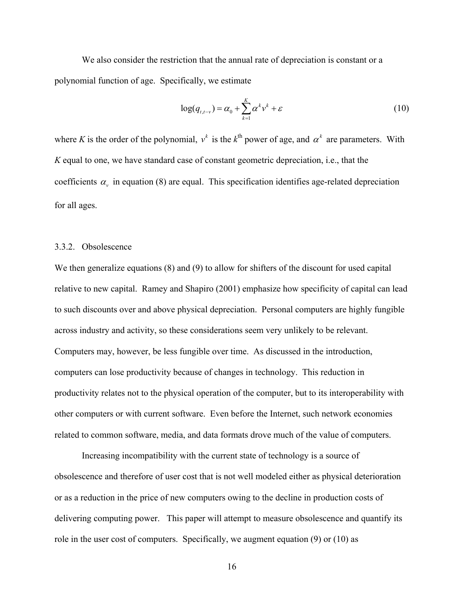We also consider the restriction that the annual rate of depreciation is constant or a polynomial function of age. Specifically, we estimate

$$
\log(q_{t,t-v}) = \alpha_0 + \sum_{k=1}^{K} \alpha^k v^k + \varepsilon
$$
\n(10)

where *K* is the order of the polynomial,  $v^k$  is the  $k^{\text{th}}$  power of age, and  $\alpha^k$  are parameters. With *K* equal to one, we have standard case of constant geometric depreciation, i.e., that the coefficients  $\alpha$ <sup>*i*</sup> in equation (8) are equal. This specification identifies age-related depreciation for all ages.

## 3.3.2. Obsolescence

We then generalize equations (8) and (9) to allow for shifters of the discount for used capital relative to new capital. Ramey and Shapiro (2001) emphasize how specificity of capital can lead to such discounts over and above physical depreciation. Personal computers are highly fungible across industry and activity, so these considerations seem very unlikely to be relevant. Computers may, however, be less fungible over time. As discussed in the introduction, computers can lose productivity because of changes in technology. This reduction in productivity relates not to the physical operation of the computer, but to its interoperability with other computers or with current software. Even before the Internet, such network economies related to common software, media, and data formats drove much of the value of computers.

Increasing incompatibility with the current state of technology is a source of obsolescence and therefore of user cost that is not well modeled either as physical deterioration or as a reduction in the price of new computers owing to the decline in production costs of delivering computing power. This paper will attempt to measure obsolescence and quantify its role in the user cost of computers. Specifically, we augment equation (9) or (10) as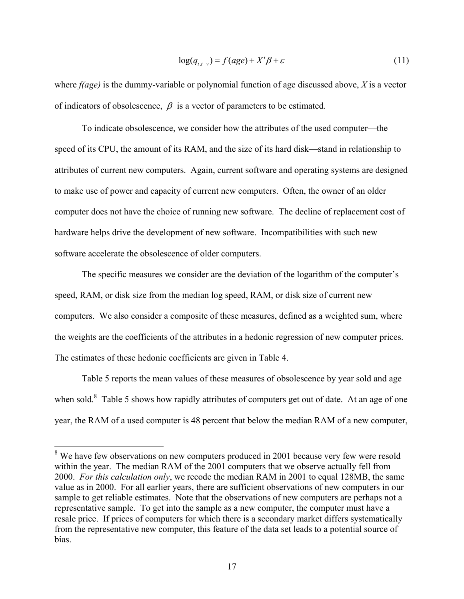$$
\log(q_{t,t-v}) = f(age) + X'\beta + \varepsilon \tag{11}
$$

where *f(age)* is the dummy-variable or polynomial function of age discussed above, *X* is a vector of indicators of obsolescence,  $\beta$  is a vector of parameters to be estimated.

To indicate obsolescence, we consider how the attributes of the used computer—the speed of its CPU, the amount of its RAM, and the size of its hard disk—stand in relationship to attributes of current new computers. Again, current software and operating systems are designed to make use of power and capacity of current new computers. Often, the owner of an older computer does not have the choice of running new software. The decline of replacement cost of hardware helps drive the development of new software. Incompatibilities with such new software accelerate the obsolescence of older computers.

The specific measures we consider are the deviation of the logarithm of the computer's speed, RAM, or disk size from the median log speed, RAM, or disk size of current new computers. We also consider a composite of these measures, defined as a weighted sum, where the weights are the coefficients of the attributes in a hedonic regression of new computer prices. The estimates of these hedonic coefficients are given in Table 4.

Table 5 reports the mean values of these measures of obsolescence by year sold and age when sold.<sup>8</sup> Table 5 shows how rapidly attributes of computers get out of date. At an age of one year, the RAM of a used computer is 48 percent that below the median RAM of a new computer,

<sup>&</sup>lt;sup>8</sup> We have few observations on new computers produced in 2001 because very few were resold within the year. The median RAM of the 2001 computers that we observe actually fell from 2000. *For this calculation only*, we recode the median RAM in 2001 to equal 128MB, the same value as in 2000. For all earlier years, there are sufficient observations of new computers in our sample to get reliable estimates. Note that the observations of new computers are perhaps not a representative sample. To get into the sample as a new computer, the computer must have a resale price. If prices of computers for which there is a secondary market differs systematically from the representative new computer, this feature of the data set leads to a potential source of bias.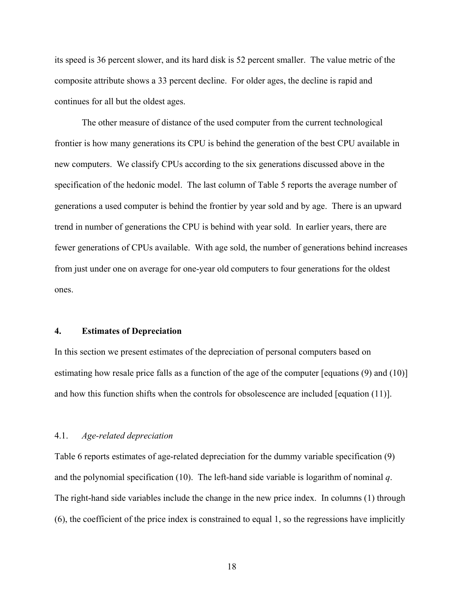its speed is 36 percent slower, and its hard disk is 52 percent smaller. The value metric of the composite attribute shows a 33 percent decline. For older ages, the decline is rapid and continues for all but the oldest ages.

The other measure of distance of the used computer from the current technological frontier is how many generations its CPU is behind the generation of the best CPU available in new computers. We classify CPUs according to the six generations discussed above in the specification of the hedonic model. The last column of Table 5 reports the average number of generations a used computer is behind the frontier by year sold and by age. There is an upward trend in number of generations the CPU is behind with year sold. In earlier years, there are fewer generations of CPUs available. With age sold, the number of generations behind increases from just under one on average for one-year old computers to four generations for the oldest ones.

#### **4. Estimates of Depreciation**

In this section we present estimates of the depreciation of personal computers based on estimating how resale price falls as a function of the age of the computer [equations (9) and (10)] and how this function shifts when the controls for obsolescence are included [equation (11)].

#### 4.1. *Age-related depreciation*

Table 6 reports estimates of age-related depreciation for the dummy variable specification (9) and the polynomial specification (10). The left-hand side variable is logarithm of nominal *q*. The right-hand side variables include the change in the new price index. In columns (1) through (6), the coefficient of the price index is constrained to equal 1, so the regressions have implicitly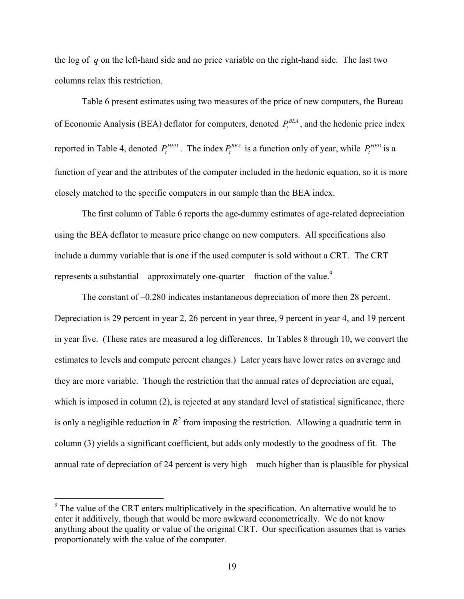the log of *q* on the left-hand side and no price variable on the right-hand side. The last two columns relax this restriction.

 Table 6 present estimates using two measures of the price of new computers, the Bureau of Economic Analysis (BEA) deflator for computers, denoted  $P_t^{BEA}$ , and the hedonic price index reported in Table 4, denoted  $P_t^{HED}$ . The index  $P_t^{BEA}$  is a function only of year, while  $P_t^{HED}$  is a function of year and the attributes of the computer included in the hedonic equation, so it is more closely matched to the specific computers in our sample than the BEA index.

 The first column of Table 6 reports the age-dummy estimates of age-related depreciation using the BEA deflator to measure price change on new computers. All specifications also include a dummy variable that is one if the used computer is sold without a CRT. The CRT represents a substantial—approximately one-quarter—fraction of the value.<sup>9</sup>

The constant of –0.280 indicates instantaneous depreciation of more then 28 percent. Depreciation is 29 percent in year 2, 26 percent in year three, 9 percent in year 4, and 19 percent in year five. (These rates are measured a log differences. In Tables 8 through 10, we convert the estimates to levels and compute percent changes.) Later years have lower rates on average and they are more variable. Though the restriction that the annual rates of depreciation are equal, which is imposed in column (2), is rejected at any standard level of statistical significance, there is only a negligible reduction in  $R^2$  from imposing the restriction. Allowing a quadratic term in column (3) yields a significant coefficient, but adds only modestly to the goodness of fit. The annual rate of depreciation of 24 percent is very high—much higher than is plausible for physical

 $\overline{a}$ 

 $9<sup>9</sup>$  The value of the CRT enters multiplicatively in the specification. An alternative would be to enter it additively, though that would be more awkward econometrically. We do not know anything about the quality or value of the original CRT. Our specification assumes that is varies proportionately with the value of the computer.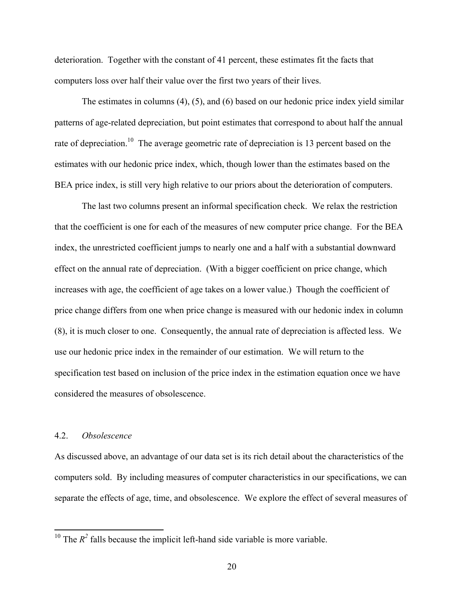deterioration. Together with the constant of 41 percent, these estimates fit the facts that computers loss over half their value over the first two years of their lives.

 The estimates in columns (4), (5), and (6) based on our hedonic price index yield similar patterns of age-related depreciation, but point estimates that correspond to about half the annual rate of depreciation.<sup>10</sup> The average geometric rate of depreciation is 13 percent based on the estimates with our hedonic price index, which, though lower than the estimates based on the BEA price index, is still very high relative to our priors about the deterioration of computers.

 The last two columns present an informal specification check. We relax the restriction that the coefficient is one for each of the measures of new computer price change. For the BEA index, the unrestricted coefficient jumps to nearly one and a half with a substantial downward effect on the annual rate of depreciation. (With a bigger coefficient on price change, which increases with age, the coefficient of age takes on a lower value.) Though the coefficient of price change differs from one when price change is measured with our hedonic index in column (8), it is much closer to one. Consequently, the annual rate of depreciation is affected less. We use our hedonic price index in the remainder of our estimation. We will return to the specification test based on inclusion of the price index in the estimation equation once we have considered the measures of obsolescence.

## 4.2. *Obsolescence*

 $\overline{a}$ 

As discussed above, an advantage of our data set is its rich detail about the characteristics of the computers sold. By including measures of computer characteristics in our specifications, we can separate the effects of age, time, and obsolescence. We explore the effect of several measures of

<sup>&</sup>lt;sup>10</sup> The  $R^2$  falls because the implicit left-hand side variable is more variable.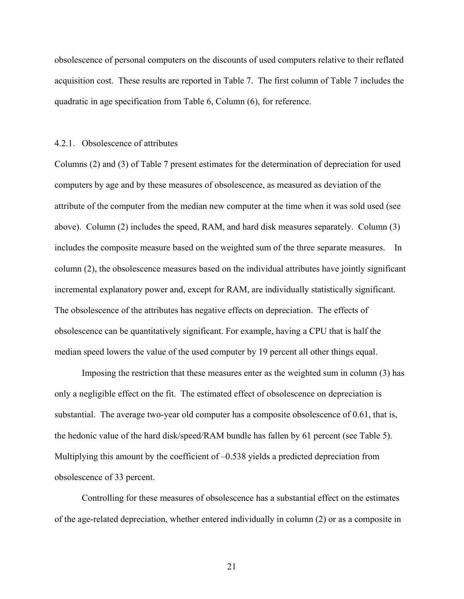obsolescence of personal computers on the discounts of used computers relative to their reflated acquisition cost. These results are reported in Table 7. The first column of Table 7 includes the quadratic in age specification from Table 6, Column (6), for reference.

#### 4.2.1. Obsolescence of attributes

Columns (2) and (3) of Table 7 present estimates for the determination of depreciation for used computers by age and by these measures of obsolescence, as measured as deviation of the attribute of the computer from the median new computer at the time when it was sold used (see above). Column (2) includes the speed, RAM, and hard disk measures separately. Column (3) includes the composite measure based on the weighted sum of the three separate measures. In column (2), the obsolescence measures based on the individual attributes have jointly significant incremental explanatory power and, except for RAM, are individually statistically significant. The obsolescence of the attributes has negative effects on depreciation. The effects of obsolescence can be quantitatively significant. For example, having a CPU that is half the median speed lowers the value of the used computer by 19 percent all other things equal.

Imposing the restriction that these measures enter as the weighted sum in column (3) has only a negligible effect on the fit. The estimated effect of obsolescence on depreciation is substantial. The average two-year old computer has a composite obsolescence of 0.61, that is, the hedonic value of the hard disk/speed/RAM bundle has fallen by 61 percent (see Table 5). Multiplying this amount by the coefficient of –0.538 yields a predicted depreciation from obsolescence of 33 percent.

Controlling for these measures of obsolescence has a substantial effect on the estimates of the age-related depreciation, whether entered individually in column (2) or as a composite in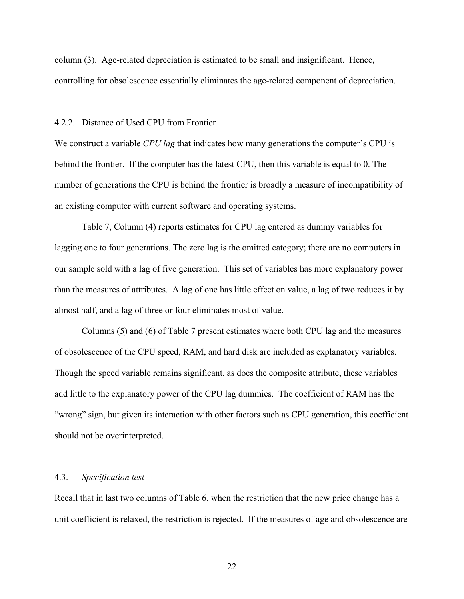column (3). Age-related depreciation is estimated to be small and insignificant. Hence, controlling for obsolescence essentially eliminates the age-related component of depreciation.

4.2.2. Distance of Used CPU from Frontier

We construct a variable *CPU lag* that indicates how many generations the computer's CPU is behind the frontier. If the computer has the latest CPU, then this variable is equal to 0. The number of generations the CPU is behind the frontier is broadly a measure of incompatibility of an existing computer with current software and operating systems.

Table 7, Column (4) reports estimates for CPU lag entered as dummy variables for lagging one to four generations. The zero lag is the omitted category; there are no computers in our sample sold with a lag of five generation. This set of variables has more explanatory power than the measures of attributes. A lag of one has little effect on value, a lag of two reduces it by almost half, and a lag of three or four eliminates most of value.

Columns (5) and (6) of Table 7 present estimates where both CPU lag and the measures of obsolescence of the CPU speed, RAM, and hard disk are included as explanatory variables. Though the speed variable remains significant, as does the composite attribute, these variables add little to the explanatory power of the CPU lag dummies. The coefficient of RAM has the "wrong" sign, but given its interaction with other factors such as CPU generation, this coefficient should not be overinterpreted.

## 4.3. *Specification test*

Recall that in last two columns of Table 6, when the restriction that the new price change has a unit coefficient is relaxed, the restriction is rejected. If the measures of age and obsolescence are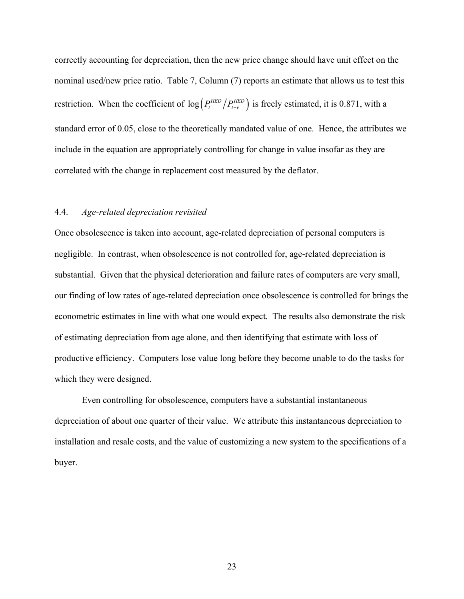correctly accounting for depreciation, then the new price change should have unit effect on the nominal used/new price ratio. Table 7, Column (7) reports an estimate that allows us to test this restriction. When the coefficient of  $\log (P_t^{\text{HED}}/P_{t-\nu}^{\text{HED}})$  is freely estimated, it is 0.871, with a standard error of 0.05, close to the theoretically mandated value of one. Hence, the attributes we include in the equation are appropriately controlling for change in value insofar as they are correlated with the change in replacement cost measured by the deflator.

## 4.4. *Age-related depreciation revisited*

Once obsolescence is taken into account, age-related depreciation of personal computers is negligible. In contrast, when obsolescence is not controlled for, age-related depreciation is substantial. Given that the physical deterioration and failure rates of computers are very small, our finding of low rates of age-related depreciation once obsolescence is controlled for brings the econometric estimates in line with what one would expect. The results also demonstrate the risk of estimating depreciation from age alone, and then identifying that estimate with loss of productive efficiency. Computers lose value long before they become unable to do the tasks for which they were designed.

 Even controlling for obsolescence, computers have a substantial instantaneous depreciation of about one quarter of their value. We attribute this instantaneous depreciation to installation and resale costs, and the value of customizing a new system to the specifications of a buyer.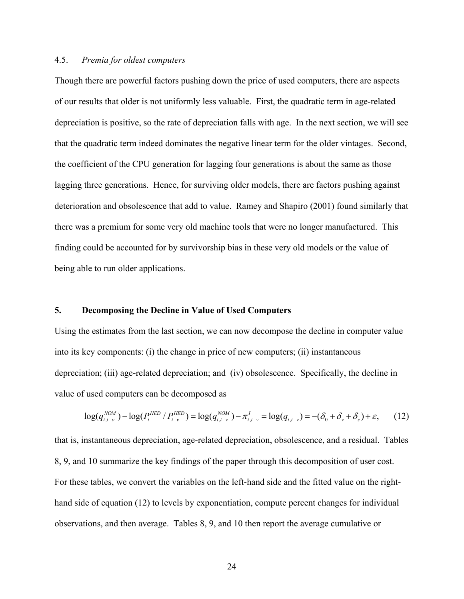# 4.5. *Premia for oldest computers*

Though there are powerful factors pushing down the price of used computers, there are aspects of our results that older is not uniformly less valuable. First, the quadratic term in age-related depreciation is positive, so the rate of depreciation falls with age. In the next section, we will see that the quadratic term indeed dominates the negative linear term for the older vintages. Second, the coefficient of the CPU generation for lagging four generations is about the same as those lagging three generations. Hence, for surviving older models, there are factors pushing against deterioration and obsolescence that add to value. Ramey and Shapiro (2001) found similarly that there was a premium for some very old machine tools that were no longer manufactured. This finding could be accounted for by survivorship bias in these very old models or the value of being able to run older applications.

## **5. Decomposing the Decline in Value of Used Computers**

Using the estimates from the last section, we can now decompose the decline in computer value into its key components: (i) the change in price of new computers; (ii) instantaneous depreciation; (iii) age-related depreciation; and (iv) obsolescence. Specifically, the decline in value of used computers can be decomposed as

$$
\log(q_{t,t-v}^{NOM}) - \log(P_t^{HED} / P_{t-v}^{HED}) = \log(q_{t,t-v}^{NOM}) - \pi_{t,t-v}^I = \log(q_{t,t-v}) = -(\delta_0 + \delta_v + \delta_s) + \varepsilon,\tag{12}
$$

that is, instantaneous depreciation, age-related depreciation, obsolescence, and a residual. Tables 8, 9, and 10 summarize the key findings of the paper through this decomposition of user cost. For these tables, we convert the variables on the left-hand side and the fitted value on the righthand side of equation (12) to levels by exponentiation, compute percent changes for individual observations, and then average. Tables 8, 9, and 10 then report the average cumulative or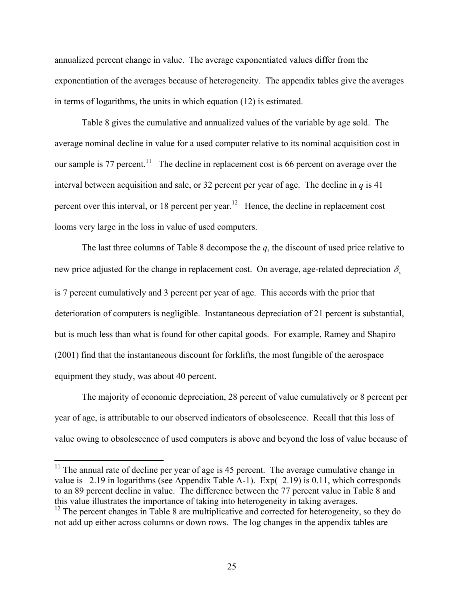annualized percent change in value. The average exponentiated values differ from the exponentiation of the averages because of heterogeneity. The appendix tables give the averages in terms of logarithms, the units in which equation (12) is estimated.

Table 8 gives the cumulative and annualized values of the variable by age sold. The average nominal decline in value for a used computer relative to its nominal acquisition cost in our sample is 77 percent.<sup>11</sup> The decline in replacement cost is 66 percent on average over the interval between acquisition and sale, or 32 percent per year of age. The decline in  $q$  is 41 percent over this interval, or 18 percent per year.<sup>12</sup> Hence, the decline in replacement cost looms very large in the loss in value of used computers.

The last three columns of Table 8 decompose the *q*, the discount of used price relative to new price adjusted for the change in replacement cost. On average, age-related depreciation  $\delta$ is 7 percent cumulatively and 3 percent per year of age. This accords with the prior that deterioration of computers is negligible. Instantaneous depreciation of 21 percent is substantial, but is much less than what is found for other capital goods. For example, Ramey and Shapiro (2001) find that the instantaneous discount for forklifts, the most fungible of the aerospace equipment they study, was about 40 percent.

The majority of economic depreciation, 28 percent of value cumulatively or 8 percent per year of age, is attributable to our observed indicators of obsolescence. Recall that this loss of value owing to obsolescence of used computers is above and beyond the loss of value because of

<u>.</u>

 $11$  The annual rate of decline per year of age is 45 percent. The average cumulative change in value is  $-2.19$  in logarithms (see Appendix Table A-1). Exp $(-2.19)$  is 0.11, which corresponds to an 89 percent decline in value. The difference between the 77 percent value in Table 8 and this value illustrates the importance of taking into heterogeneity in taking averages.

 $12$  The percent changes in Table 8 are multiplicative and corrected for heterogeneity, so they do not add up either across columns or down rows. The log changes in the appendix tables are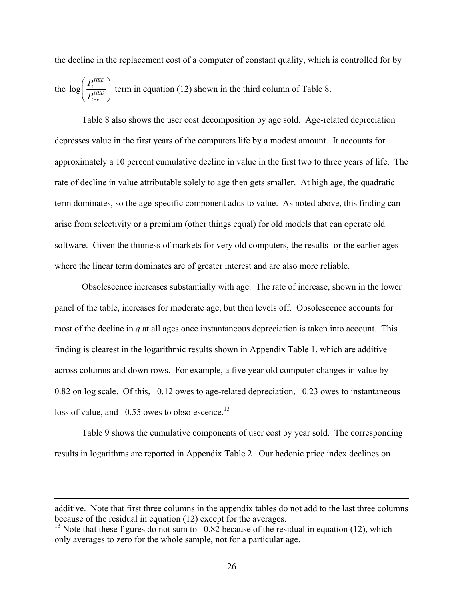the decline in the replacement cost of a computer of constant quality, which is controlled for by

the 
$$
\log \left( \frac{P_t^{HED}}{P_{t-v}^{HED}} \right)
$$
 term in equation (12) shown in the third column of Table 8.

 Table 8 also shows the user cost decomposition by age sold. Age-related depreciation depresses value in the first years of the computers life by a modest amount. It accounts for approximately a 10 percent cumulative decline in value in the first two to three years of life. The rate of decline in value attributable solely to age then gets smaller. At high age, the quadratic term dominates, so the age-specific component adds to value. As noted above, this finding can arise from selectivity or a premium (other things equal) for old models that can operate old software. Given the thinness of markets for very old computers, the results for the earlier ages where the linear term dominates are of greater interest and are also more reliable.

Obsolescence increases substantially with age. The rate of increase, shown in the lower panel of the table, increases for moderate age, but then levels off. Obsolescence accounts for most of the decline in *q* at all ages once instantaneous depreciation is taken into account*.* This finding is clearest in the logarithmic results shown in Appendix Table 1, which are additive across columns and down rows. For example, a five year old computer changes in value by – 0.82 on log scale. Of this, –0.12 owes to age-related depreciation, –0.23 owes to instantaneous loss of value, and  $-0.55$  owes to obsolescence.<sup>13</sup>

Table 9 shows the cumulative components of user cost by year sold. The corresponding results in logarithms are reported in Appendix Table 2. Our hedonic price index declines on

additive. Note that first three columns in the appendix tables do not add to the last three columns because of the residual in equation (12) except for the averages.

<sup>&</sup>lt;sup>13</sup> Note that these figures do not sum to  $-0.82$  because of the residual in equation (12), which only averages to zero for the whole sample, not for a particular age.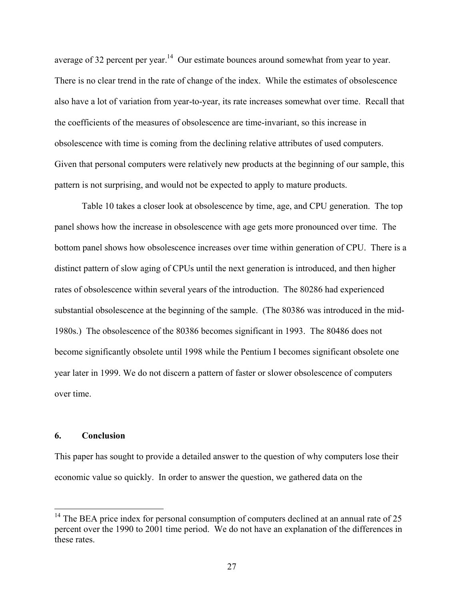average of 32 percent per year.<sup>14</sup> Our estimate bounces around somewhat from year to year. There is no clear trend in the rate of change of the index. While the estimates of obsolescence also have a lot of variation from year-to-year, its rate increases somewhat over time. Recall that the coefficients of the measures of obsolescence are time-invariant, so this increase in obsolescence with time is coming from the declining relative attributes of used computers. Given that personal computers were relatively new products at the beginning of our sample, this pattern is not surprising, and would not be expected to apply to mature products.

Table 10 takes a closer look at obsolescence by time, age, and CPU generation. The top panel shows how the increase in obsolescence with age gets more pronounced over time. The bottom panel shows how obsolescence increases over time within generation of CPU. There is a distinct pattern of slow aging of CPUs until the next generation is introduced, and then higher rates of obsolescence within several years of the introduction. The 80286 had experienced substantial obsolescence at the beginning of the sample. (The 80386 was introduced in the mid-1980s.) The obsolescence of the 80386 becomes significant in 1993. The 80486 does not become significantly obsolete until 1998 while the Pentium I becomes significant obsolete one year later in 1999. We do not discern a pattern of faster or slower obsolescence of computers over time.

# **6. Conclusion**

 $\overline{a}$ 

This paper has sought to provide a detailed answer to the question of why computers lose their economic value so quickly. In order to answer the question, we gathered data on the

 $14$  The BEA price index for personal consumption of computers declined at an annual rate of 25 percent over the 1990 to 2001 time period. We do not have an explanation of the differences in these rates.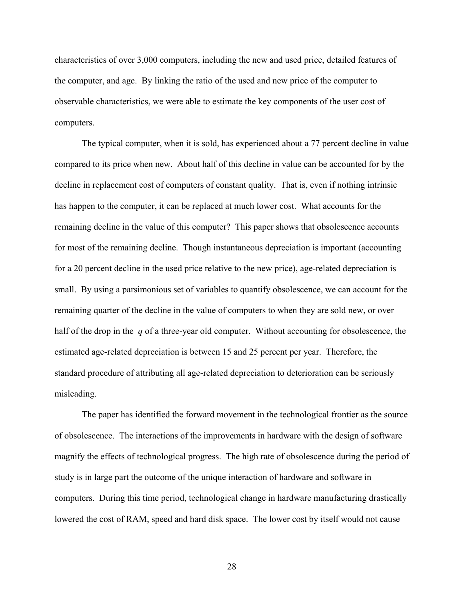characteristics of over 3,000 computers, including the new and used price, detailed features of the computer, and age. By linking the ratio of the used and new price of the computer to observable characteristics, we were able to estimate the key components of the user cost of computers.

The typical computer, when it is sold, has experienced about a 77 percent decline in value compared to its price when new. About half of this decline in value can be accounted for by the decline in replacement cost of computers of constant quality. That is, even if nothing intrinsic has happen to the computer, it can be replaced at much lower cost. What accounts for the remaining decline in the value of this computer? This paper shows that obsolescence accounts for most of the remaining decline. Though instantaneous depreciation is important (accounting for a 20 percent decline in the used price relative to the new price), age-related depreciation is small. By using a parsimonious set of variables to quantify obsolescence, we can account for the remaining quarter of the decline in the value of computers to when they are sold new, or over half of the drop in the *q* of a three-year old computer. Without accounting for obsolescence, the estimated age-related depreciation is between 15 and 25 percent per year. Therefore, the standard procedure of attributing all age-related depreciation to deterioration can be seriously misleading.

The paper has identified the forward movement in the technological frontier as the source of obsolescence. The interactions of the improvements in hardware with the design of software magnify the effects of technological progress. The high rate of obsolescence during the period of study is in large part the outcome of the unique interaction of hardware and software in computers. During this time period, technological change in hardware manufacturing drastically lowered the cost of RAM, speed and hard disk space. The lower cost by itself would not cause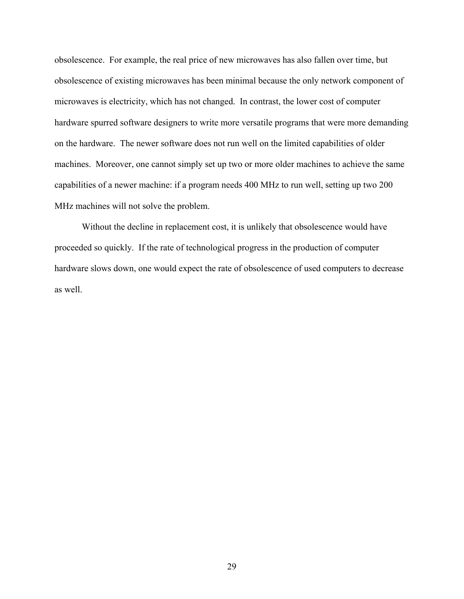obsolescence. For example, the real price of new microwaves has also fallen over time, but obsolescence of existing microwaves has been minimal because the only network component of microwaves is electricity, which has not changed. In contrast, the lower cost of computer hardware spurred software designers to write more versatile programs that were more demanding on the hardware. The newer software does not run well on the limited capabilities of older machines. Moreover, one cannot simply set up two or more older machines to achieve the same capabilities of a newer machine: if a program needs 400 MHz to run well, setting up two 200 MHz machines will not solve the problem.

Without the decline in replacement cost, it is unlikely that obsolescence would have proceeded so quickly. If the rate of technological progress in the production of computer hardware slows down, one would expect the rate of obsolescence of used computers to decrease as well.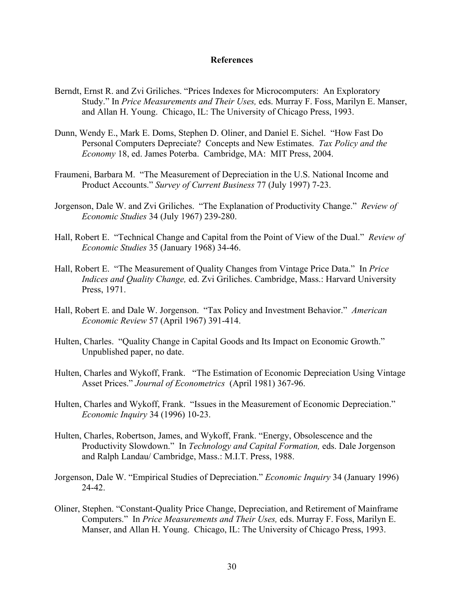#### **References**

- Berndt, Ernst R. and Zvi Griliches. "Prices Indexes for Microcomputers: An Exploratory Study." In *Price Measurements and Their Uses,* eds. Murray F. Foss, Marilyn E. Manser, and Allan H. Young. Chicago, IL: The University of Chicago Press, 1993.
- Dunn, Wendy E., Mark E. Doms, Stephen D. Oliner, and Daniel E. Sichel. "How Fast Do Personal Computers Depreciate? Concepts and New Estimates. *Tax Policy and the Economy* 18, ed. James Poterba. Cambridge, MA: MIT Press, 2004.
- Fraumeni, Barbara M. "The Measurement of Depreciation in the U.S. National Income and Product Accounts." *Survey of Current Business* 77 (July 1997) 7-23.
- Jorgenson, Dale W. and Zvi Griliches. "The Explanation of Productivity Change." *Review of Economic Studies* 34 (July 1967) 239-280.
- Hall, Robert E. "Technical Change and Capital from the Point of View of the Dual." *Review of Economic Studies* 35 (January 1968) 34-46.
- Hall, Robert E. "The Measurement of Quality Changes from Vintage Price Data." In *Price Indices and Quality Change,* ed. Zvi Griliches. Cambridge, Mass.: Harvard University Press, 1971.
- Hall, Robert E. and Dale W. Jorgenson. "Tax Policy and Investment Behavior." *American Economic Review* 57 (April 1967) 391-414.
- Hulten, Charles. "Quality Change in Capital Goods and Its Impact on Economic Growth." Unpublished paper, no date.
- Hulten, Charles and Wykoff, Frank. "The Estimation of Economic Depreciation Using Vintage Asset Prices." *Journal of Econometrics* (April 1981) 367-96.
- Hulten, Charles and Wykoff, Frank. "Issues in the Measurement of Economic Depreciation." *Economic Inquiry* 34 (1996) 10-23.
- Hulten, Charles, Robertson, James, and Wykoff, Frank. "Energy, Obsolescence and the Productivity Slowdown." In *Technology and Capital Formation,* eds. Dale Jorgenson and Ralph Landau/ Cambridge, Mass.: M.I.T. Press, 1988.
- Jorgenson, Dale W. "Empirical Studies of Depreciation." *Economic Inquiry* 34 (January 1996) 24-42.
- Oliner, Stephen. "Constant-Quality Price Change, Depreciation, and Retirement of Mainframe Computers." In *Price Measurements and Their Uses,* eds. Murray F. Foss, Marilyn E. Manser, and Allan H. Young. Chicago, IL: The University of Chicago Press, 1993.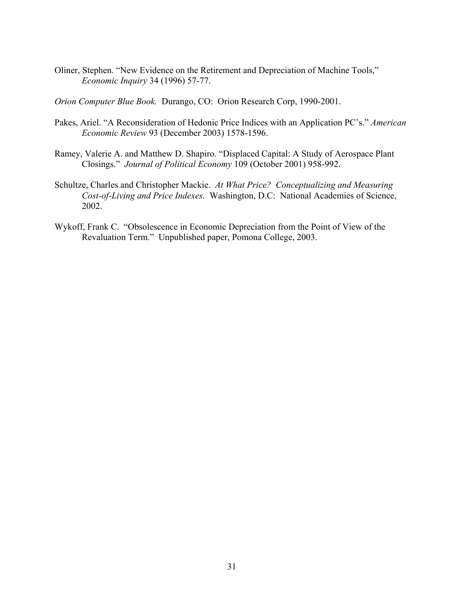- Oliner, Stephen. "New Evidence on the Retirement and Depreciation of Machine Tools," *Economic Inquiry* 34 (1996) 57-77.
- *Orion Computer Blue Book.* Durango, CO: Orion Research Corp, 1990-2001.
- Pakes, Ariel. "A Reconsideration of Hedonic Price Indices with an Application PC's." *American Economic Review* 93 (December 2003) 1578-1596.
- Ramey, Valerie A. and Matthew D. Shapiro. "Displaced Capital: A Study of Aerospace Plant Closings." *Journal of Political Economy* 109 (October 2001) 958-992.
- Schultze, Charles and Christopher Mackie. *At What Price? Conceptualizing and Measuring Cost-of-Living and Price Indexes.* Washington, D.C: National Academies of Science, 2002.
- Wykoff, Frank C. "Obsolescence in Economic Depreciation from the Point of View of the Revaluation Term." Unpublished paper, Pomona College, 2003.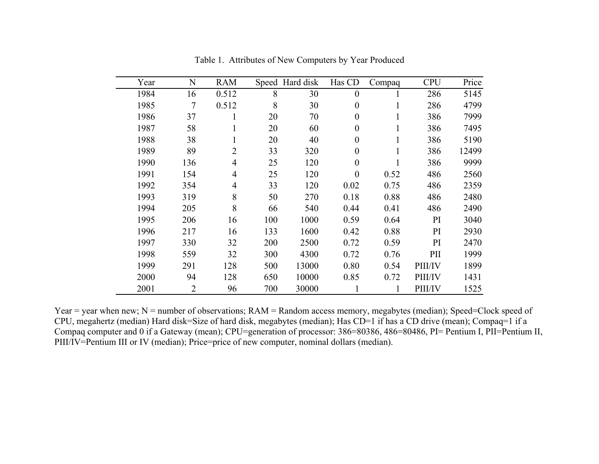| Year | N              | <b>RAM</b>               |     | Speed Hard disk | Has CD           | Compaq | <b>CPU</b> | Price |
|------|----------------|--------------------------|-----|-----------------|------------------|--------|------------|-------|
| 1984 | 16             | 0.512                    | 8   | 30              | $\boldsymbol{0}$ |        | 286        | 5145  |
| 1985 | 7              | 0.512                    | 8   | 30              | $\boldsymbol{0}$ |        | 286        | 4799  |
| 1986 | 37             |                          | 20  | 70              | $\theta$         |        | 386        | 7999  |
| 1987 | 58             | 1                        | 20  | 60              | $\mathbf{0}$     |        | 386        | 7495  |
| 1988 | 38             | 1                        | 20  | 40              | $\overline{0}$   |        | 386        | 5190  |
| 1989 | 89             | 2                        | 33  | 320             | $\boldsymbol{0}$ |        | 386        | 12499 |
| 1990 | 136            | $\overline{4}$           | 25  | 120             | $\overline{0}$   |        | 386        | 9999  |
| 1991 | 154            | $\overline{\mathcal{A}}$ | 25  | 120             | $\overline{0}$   | 0.52   | 486        | 2560  |
| 1992 | 354            | $\overline{4}$           | 33  | 120             | 0.02             | 0.75   | 486        | 2359  |
| 1993 | 319            | 8                        | 50  | 270             | 0.18             | 0.88   | 486        | 2480  |
| 1994 | 205            | 8                        | 66  | 540             | 0.44             | 0.41   | 486        | 2490  |
| 1995 | 206            | 16                       | 100 | 1000            | 0.59             | 0.64   | PI         | 3040  |
| 1996 | 217            | 16                       | 133 | 1600            | 0.42             | 0.88   | PI         | 2930  |
| 1997 | 330            | 32                       | 200 | 2500            | 0.72             | 0.59   | PI         | 2470  |
| 1998 | 559            | 32                       | 300 | 4300            | 0.72             | 0.76   | PII        | 1999  |
| 1999 | 291            | 128                      | 500 | 13000           | 0.80             | 0.54   | PIII/IV    | 1899  |
| 2000 | 94             | 128                      | 650 | 10000           | 0.85             | 0.72   | PIII/IV    | 1431  |
| 2001 | $\overline{2}$ | 96                       | 700 | 30000           |                  | 1      | PIII/IV    | 1525  |

Table 1. Attributes of New Computers by Year Produced

Year = year when new;  $N =$  number of observations;  $RAM =$  Random access memory, megabytes (median); Speed=Clock speed of CPU, megahertz (median) Hard disk=Size of hard disk, megabytes (median); Has CD=1 if has a CD drive (mean); Compaq=1 if a Compaq computer and 0 if a Gateway (mean); CPU=generation of processor: 386=80386, 486=80486, PI= Pentium I, PII=Pentium II, PIII/IV=Pentium III or IV (median); Price=price of new computer, nominal dollars (median).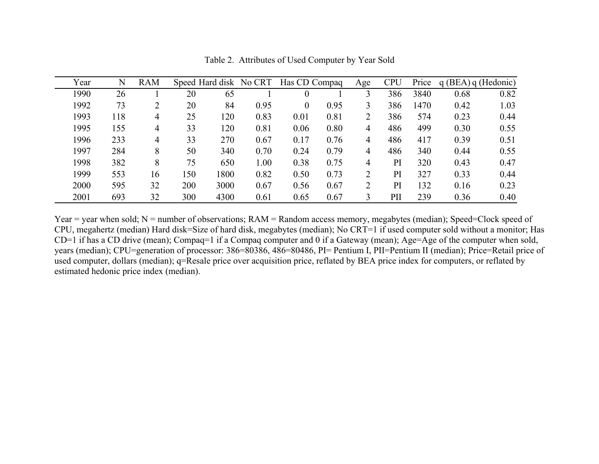| Year | N   | <b>RAM</b> |     |      | Speed Hard disk No CRT | Has CD Compaq  |      | Age | <b>CPU</b> | Price | $q$ (BEA) $q$ (Hedonic) |      |
|------|-----|------------|-----|------|------------------------|----------------|------|-----|------------|-------|-------------------------|------|
| 1990 | 26  |            | 20  | 65   |                        | $\overline{0}$ |      | 3   | 386        | 3840  | 0.68                    | 0.82 |
| 1992 | 73  |            | 20  | 84   | 0.95                   | $\overline{0}$ | 0.95 | 3   | 386        | 1470  | 0.42                    | 1.03 |
| 1993 | 118 | 4          | 25  | 120  | 0.83                   | 0.01           | 0.81 | 2   | 386        | 574   | 0.23                    | 0.44 |
| 1995 | 155 | 4          | 33  | 120  | 0.81                   | 0.06           | 0.80 | 4   | 486        | 499   | 0.30                    | 0.55 |
| 1996 | 233 | 4          | 33  | 270  | 0.67                   | 0.17           | 0.76 | 4   | 486        | 417   | 0.39                    | 0.51 |
| 1997 | 284 | 8          | 50  | 340  | 0.70                   | 0.24           | 0.79 | 4   | 486        | 340   | 0.44                    | 0.55 |
| 1998 | 382 | 8          | 75  | 650  | 1.00                   | 0.38           | 0.75 | 4   | PI         | 320   | 0.43                    | 0.47 |
| 1999 | 553 | 16         | 150 | 1800 | 0.82                   | 0.50           | 0.73 | 2   | PI         | 327   | 0.33                    | 0.44 |
| 2000 | 595 | 32         | 200 | 3000 | 0.67                   | 0.56           | 0.67 | 2   | PI         | 132   | 0.16                    | 0.23 |
| 2001 | 693 | 32         | 300 | 4300 | 0.61                   | 0.65           | 0.67 |     | PII        | 239   | 0.36                    | 0.40 |

Table 2. Attributes of Used Computer by Year Sold

Year = year when sold; N = number of observations; RAM = Random access memory, megabytes (median); Speed=Clock speed of CPU, megahertz (median) Hard disk=Size of hard disk, megabytes (median); No CRT=1 if used computer sold without a monitor; Has CD=1 if has a CD drive (mean); Compaq=1 if a Compaq computer and 0 if a Gateway (mean); Age=Age of the computer when sold, years (median); CPU=generation of processor: 386=80386, 486=80486, PI= Pentium I, PII=Pentium II (median); Price=Retail price of used computer, dollars (median); q=Resale price over acquisition price, reflated by BEA price index for computers, or reflated by estimated hedonic price index (median).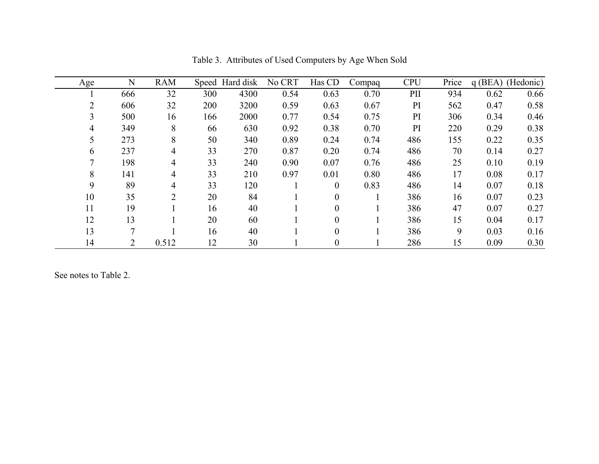| Age | N              | <b>RAM</b>     |     | Speed Hard disk | No CRT | Has CD           | Compaq | <b>CPU</b> | Price |      | $q$ (BEA) (Hedonic) |
|-----|----------------|----------------|-----|-----------------|--------|------------------|--------|------------|-------|------|---------------------|
|     | 666            | 32             | 300 | 4300            | 0.54   | 0.63             | 0.70   | PII        | 934   | 0.62 | 0.66                |
| 2   | 606            | 32             | 200 | 3200            | 0.59   | 0.63             | 0.67   | PI         | 562   | 0.47 | 0.58                |
| 3   | 500            | 16             | 166 | 2000            | 0.77   | 0.54             | 0.75   | PI         | 306   | 0.34 | 0.46                |
| 4   | 349            | 8              | 66  | 630             | 0.92   | 0.38             | 0.70   | PI         | 220   | 0.29 | 0.38                |
|     | 273            | 8              | 50  | 340             | 0.89   | 0.24             | 0.74   | 486        | 155   | 0.22 | 0.35                |
| 6   | 237            | $\overline{4}$ | 33  | 270             | 0.87   | 0.20             | 0.74   | 486        | 70    | 0.14 | 0.27                |
|     | 198            | $\overline{4}$ | 33  | 240             | 0.90   | 0.07             | 0.76   | 486        | 25    | 0.10 | 0.19                |
| 8   | 141            | $\overline{4}$ | 33  | 210             | 0.97   | 0.01             | 0.80   | 486        | 17    | 0.08 | 0.17                |
| 9   | 89             | $\overline{4}$ | 33  | 120             |        | $\boldsymbol{0}$ | 0.83   | 486        | 14    | 0.07 | 0.18                |
| 10  | 35             | $\overline{2}$ | 20  | 84              |        | $\overline{0}$   |        | 386        | 16    | 0.07 | 0.23                |
| 11  | 19             |                | 16  | 40              |        | $\overline{0}$   |        | 386        | 47    | 0.07 | 0.27                |
| 12  | 13             |                | 20  | 60              |        | $\overline{0}$   |        | 386        | 15    | 0.04 | 0.17                |
| 13  | $\tau$         |                | 16  | 40              |        | $\overline{0}$   |        | 386        | 9     | 0.03 | 0.16                |
| 14  | $\overline{2}$ | 0.512          | 12  | 30              |        | $\overline{0}$   |        | 286        | 15    | 0.09 | 0.30                |

Table 3. Attributes of Used Computers by Age When Sold

See notes to Table 2.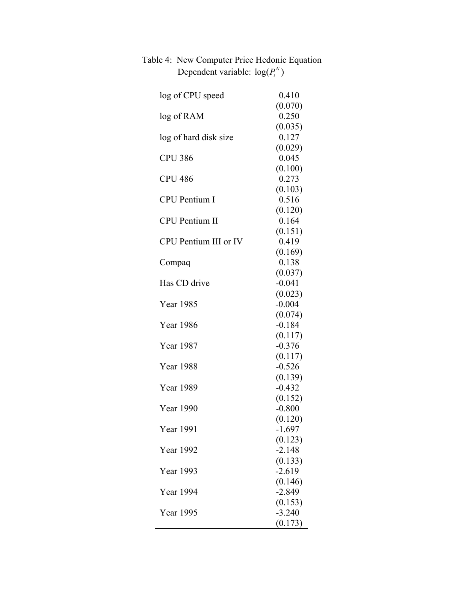| log of CPU speed      | 0.410               |
|-----------------------|---------------------|
|                       | (0.070)             |
| log of RAM            | 0.250               |
|                       | (0.035)             |
| log of hard disk size | 0.127               |
|                       | (0.029)             |
| <b>CPU 386</b>        | 0.045               |
|                       | (0.100)             |
| <b>CPU 486</b>        | 0.273               |
|                       | (0.103)             |
| <b>CPU</b> Pentium I  | 0.516               |
|                       | (0.120)             |
| <b>CPU</b> Pentium II | 0.164               |
|                       | (0.151)             |
| CPU Pentium III or IV | 0.419               |
|                       | (0.169)             |
| Compaq                | 0.138               |
|                       | (0.037)             |
| Has CD drive          | $-0.041$            |
|                       | (0.023)             |
| Year 1985             | $-0.004$            |
|                       | (0.074)             |
| Year 1986             | $-0.184$            |
|                       | (0.117)             |
| Year 1987             | $-0.376$            |
|                       | (0.117)             |
| <b>Year 1988</b>      | $-0.526$            |
|                       | (0.139)             |
| Year 1989             | $-0.432$            |
|                       | (0.152)             |
| Year 1990             | $-0.800$            |
| Year 1991             | (0.120)             |
|                       | -1.697              |
|                       | (0.123)<br>$-2.148$ |
| Year 1992             | (0.133)             |
| Year 1993             | $-2.619$            |
|                       | (0.146)             |
| <b>Year 1994</b>      | $-2.849$            |
|                       | (0.153)             |
| Year 1995             | $-3.240$            |
|                       | (0.173)             |
|                       |                     |

# Table 4: New Computer Price Hedonic Equation Dependent variable:  $log(P_t^N)$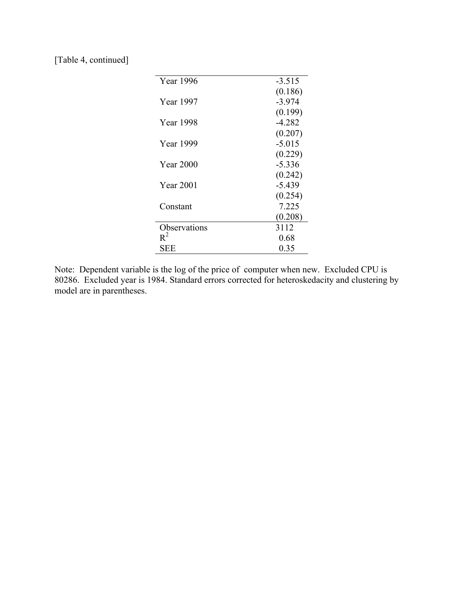[Table 4, continued]

| <b>Year 1996</b> | $-3.515$ |
|------------------|----------|
|                  | (0.186)  |
| Year 1997        | $-3.974$ |
|                  | (0.199)  |
| Year 1998        | $-4.282$ |
|                  | (0.207)  |
| Year 1999        | $-5.015$ |
|                  | (0.229)  |
| <b>Year 2000</b> | $-5.336$ |
|                  | (0.242)  |
| <b>Year 2001</b> | $-5.439$ |
|                  | (0.254)  |
| Constant         | 7.225    |
|                  | (0.208)  |
| Observations     | 3112     |
| $R^2$            | 0.68     |
| SEE              | 0.35     |

Note: Dependent variable is the log of the price of computer when new. Excluded CPU is 80286. Excluded year is 1984. Standard errors corrected for heteroskedacity and clustering by model are in parentheses.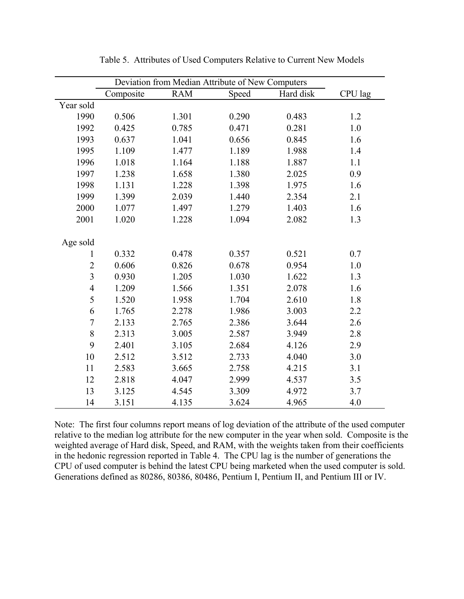|                          | Deviation from Median Attribute of New Computers |            |       |           |         |  |  |  |
|--------------------------|--------------------------------------------------|------------|-------|-----------|---------|--|--|--|
|                          | Composite                                        | <b>RAM</b> | Speed | Hard disk | CPU lag |  |  |  |
| Year sold                |                                                  |            |       |           |         |  |  |  |
| 1990                     | 0.506                                            | 1.301      | 0.290 | 0.483     | 1.2     |  |  |  |
| 1992                     | 0.425                                            | 0.785      | 0.471 | 0.281     | 1.0     |  |  |  |
| 1993                     | 0.637                                            | 1.041      | 0.656 | 0.845     | 1.6     |  |  |  |
| 1995                     | 1.109                                            | 1.477      | 1.189 | 1.988     | 1.4     |  |  |  |
| 1996                     | 1.018                                            | 1.164      | 1.188 | 1.887     | 1.1     |  |  |  |
| 1997                     | 1.238                                            | 1.658      | 1.380 | 2.025     | 0.9     |  |  |  |
| 1998                     | 1.131                                            | 1.228      | 1.398 | 1.975     | 1.6     |  |  |  |
| 1999                     | 1.399                                            | 2.039      | 1.440 | 2.354     | 2.1     |  |  |  |
| 2000                     | 1.077                                            | 1.497      | 1.279 | 1.403     | 1.6     |  |  |  |
| 2001                     | 1.020                                            | 1.228      | 1.094 | 2.082     | 1.3     |  |  |  |
|                          |                                                  |            |       |           |         |  |  |  |
| Age sold                 |                                                  |            |       |           |         |  |  |  |
| $\mathbf{1}$             | 0.332                                            | 0.478      | 0.357 | 0.521     | 0.7     |  |  |  |
| $\overline{2}$           | 0.606                                            | 0.826      | 0.678 | 0.954     | 1.0     |  |  |  |
| $\overline{3}$           | 0.930                                            | 1.205      | 1.030 | 1.622     | 1.3     |  |  |  |
| $\overline{\mathcal{A}}$ | 1.209                                            | 1.566      | 1.351 | 2.078     | 1.6     |  |  |  |
| 5                        | 1.520                                            | 1.958      | 1.704 | 2.610     | 1.8     |  |  |  |
| 6                        | 1.765                                            | 2.278      | 1.986 | 3.003     | 2.2     |  |  |  |
| $\overline{7}$           | 2.133                                            | 2.765      | 2.386 | 3.644     | 2.6     |  |  |  |
| $8\,$                    | 2.313                                            | 3.005      | 2.587 | 3.949     | 2.8     |  |  |  |
| 9                        | 2.401                                            | 3.105      | 2.684 | 4.126     | 2.9     |  |  |  |
| 10                       | 2.512                                            | 3.512      | 2.733 | 4.040     | 3.0     |  |  |  |
| 11                       | 2.583                                            | 3.665      | 2.758 | 4.215     | 3.1     |  |  |  |
| 12                       | 2.818                                            | 4.047      | 2.999 | 4.537     | 3.5     |  |  |  |
| 13                       | 3.125                                            | 4.545      | 3.309 | 4.972     | 3.7     |  |  |  |
| 14                       | 3.151                                            | 4.135      | 3.624 | 4.965     | 4.0     |  |  |  |

Table 5. Attributes of Used Computers Relative to Current New Models

Note: The first four columns report means of log deviation of the attribute of the used computer relative to the median log attribute for the new computer in the year when sold. Composite is the weighted average of Hard disk, Speed, and RAM, with the weights taken from their coefficients in the hedonic regression reported in Table 4. The CPU lag is the number of generations the CPU of used computer is behind the latest CPU being marketed when the used computer is sold. Generations defined as 80286, 80386, 80486, Pentium I, Pentium II, and Pentium III or IV.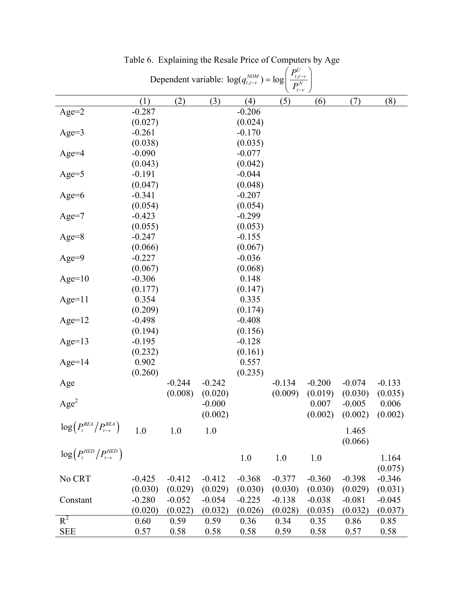|                                              |          | Dependent variable: $log(q_{t,t-v}^{NOM}) = log$ |          |          | $\frac{P_{t,t-v}^U}{P_{t-v}^N}$ |          |                     |          |
|----------------------------------------------|----------|--------------------------------------------------|----------|----------|---------------------------------|----------|---------------------|----------|
|                                              | (1)      | (2)                                              | (3)      | (4)      | (5)                             | (6)      | (7)                 | (8)      |
| $Age=2$                                      | $-0.287$ |                                                  |          | $-0.206$ |                                 |          |                     |          |
|                                              | (0.027)  |                                                  |          | (0.024)  |                                 |          |                     |          |
| $Age=3$                                      | $-0.261$ |                                                  |          | $-0.170$ |                                 |          |                     |          |
|                                              | (0.038)  |                                                  |          | (0.035)  |                                 |          |                     |          |
| $Age=4$                                      | $-0.090$ |                                                  |          | $-0.077$ |                                 |          |                     |          |
|                                              | (0.043)  |                                                  |          | (0.042)  |                                 |          |                     |          |
| $Age=5$                                      | $-0.191$ |                                                  |          | $-0.044$ |                                 |          |                     |          |
|                                              | (0.047)  |                                                  |          | (0.048)  |                                 |          |                     |          |
| Age= $6$                                     | $-0.341$ |                                                  |          | $-0.207$ |                                 |          |                     |          |
|                                              | (0.054)  |                                                  |          | (0.054)  |                                 |          |                     |          |
| $Age=7$                                      | $-0.423$ |                                                  |          | $-0.299$ |                                 |          |                     |          |
|                                              | (0.055)  |                                                  |          | (0.053)  |                                 |          |                     |          |
| $Age=8$                                      | $-0.247$ |                                                  |          | $-0.155$ |                                 |          |                     |          |
|                                              | (0.066)  |                                                  |          | (0.067)  |                                 |          |                     |          |
| Age= $9$                                     | $-0.227$ |                                                  |          | $-0.036$ |                                 |          |                     |          |
|                                              | (0.067)  |                                                  |          | (0.068)  |                                 |          |                     |          |
| $Age=10$                                     | $-0.306$ |                                                  |          | 0.148    |                                 |          |                     |          |
|                                              | (0.177)  |                                                  |          | (0.147)  |                                 |          |                     |          |
| $Age=11$                                     | 0.354    |                                                  |          | 0.335    |                                 |          |                     |          |
|                                              | (0.209)  |                                                  |          | (0.174)  |                                 |          |                     |          |
| $Age=12$                                     | $-0.498$ |                                                  |          | $-0.408$ |                                 |          |                     |          |
|                                              | (0.194)  |                                                  |          | (0.156)  |                                 |          |                     |          |
| $Age=13$                                     | $-0.195$ |                                                  |          | $-0.128$ |                                 |          |                     |          |
|                                              | (0.232)  |                                                  |          | (0.161)  |                                 |          |                     |          |
| Age= $14$                                    | 0.902    |                                                  |          | 0.557    |                                 |          |                     |          |
|                                              | (0.260)  |                                                  |          | (0.235)  |                                 |          |                     |          |
| Age                                          |          | $-0.244$                                         | $-0.242$ |          | $-0.134$                        | $-0.200$ | $-0.074$            | $-0.133$ |
|                                              |          | (0.008)                                          | (0.020)  |          | (0.009)                         | (0.019)  | (0.030)             | (0.035)  |
| Age <sup>2</sup>                             |          |                                                  | $-0.000$ |          |                                 | 0.007    | $-0.005$            | 0.006    |
|                                              |          |                                                  | (0.002)  |          |                                 | (0.002)  | $(0.002)$ $(0.002)$ |          |
| $\log\left(P_t^{BEA}/P_{t-v}^{BEA}\right)$   |          |                                                  |          |          |                                 |          |                     |          |
|                                              | $1.0\,$  | 1.0                                              | 1.0      |          |                                 |          | 1.465               |          |
|                                              |          |                                                  |          |          |                                 |          | (0.066)             |          |
| $\log\left(P_t^{HED}/P_{t-\nu}^{HED}\right)$ |          |                                                  |          | 1.0      | 1.0                             | 1.0      |                     | 1.164    |
|                                              |          |                                                  |          |          |                                 |          |                     | (0.075)  |
| No CRT                                       | $-0.425$ | $-0.412$                                         | $-0.412$ | $-0.368$ | $-0.377$                        | $-0.360$ | $-0.398$            | $-0.346$ |
|                                              | (0.030)  | (0.029)                                          | (0.029)  | (0.030)  | (0.030)                         | (0.030)  | (0.029)             | (0.031)  |
| Constant                                     | $-0.280$ | $-0.052$                                         | $-0.054$ | $-0.225$ | $-0.138$                        | $-0.038$ | $-0.081$            | $-0.045$ |
|                                              | (0.020)  | (0.022)                                          | (0.032)  | (0.026)  | (0.028)                         | (0.035)  | (0.032)             | (0.037)  |
| $R^2$                                        | 0.60     | 0.59                                             | 0.59     | 0.36     | 0.34                            | 0.35     | 0.86                | 0.85     |
| <b>SEE</b>                                   | 0.57     | 0.58                                             | 0.58     | 0.58     | 0.59                            | 0.58     | 0.57                | 0.58     |

Table 6. Explaining the Resale Price of Computers by Age

*U*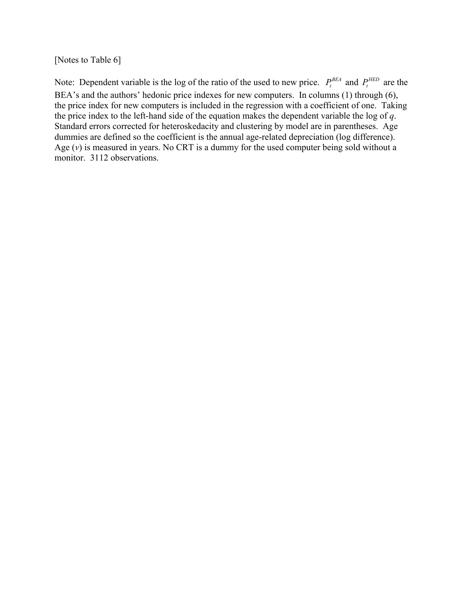[Notes to Table 6]

Note: Dependent variable is the log of the ratio of the used to new price.  $P_t^{BEA}$  and  $P_t^{HED}$  are the BEA's and the authors' hedonic price indexes for new computers. In columns (1) through (6), the price index for new computers is included in the regression with a coefficient of one. Taking the price index to the left-hand side of the equation makes the dependent variable the log of *q*. Standard errors corrected for heteroskedacity and clustering by model are in parentheses. Age dummies are defined so the coefficient is the annual age-related depreciation (log difference). Age  $(v)$  is measured in years. No CRT is a dummy for the used computer being sold without a monitor. 3112 observations.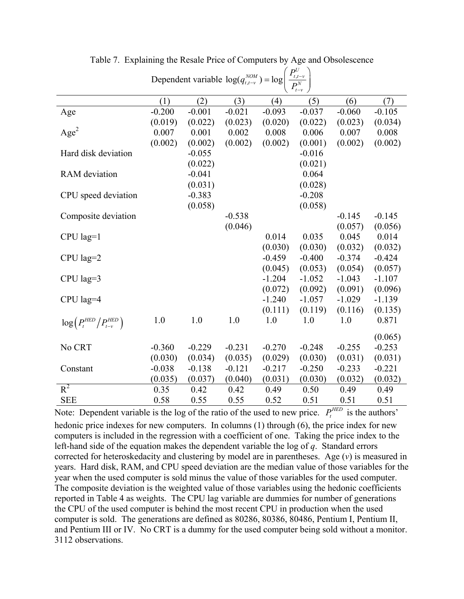|                                            | $\frac{P_{t,t-v}^U}{P_{t-v}^N}$<br>Dependent variable $log(q_{t,t-v}^{NOM}) = log$ |          |          |          |          |          |          |  |  |
|--------------------------------------------|------------------------------------------------------------------------------------|----------|----------|----------|----------|----------|----------|--|--|
|                                            | (1)                                                                                | (2)      | (3)      | (4)      | (5)      | (6)      | (7)      |  |  |
| Age                                        | $-0.200$                                                                           | $-0.001$ | $-0.021$ | $-0.093$ | $-0.037$ | $-0.060$ | $-0.105$ |  |  |
|                                            | (0.019)                                                                            | (0.022)  | (0.023)  | (0.020)  | (0.022)  | (0.023)  | (0.034)  |  |  |
| Age <sup>2</sup>                           | 0.007                                                                              | 0.001    | 0.002    | 0.008    | 0.006    | 0.007    | 0.008    |  |  |
|                                            | (0.002)                                                                            | (0.002)  | (0.002)  | (0.002)  | (0.001)  | (0.002)  | (0.002)  |  |  |
| Hard disk deviation                        |                                                                                    | $-0.055$ |          |          | $-0.016$ |          |          |  |  |
|                                            |                                                                                    | (0.022)  |          |          | (0.021)  |          |          |  |  |
| <b>RAM</b> deviation                       |                                                                                    | $-0.041$ |          |          | 0.064    |          |          |  |  |
|                                            |                                                                                    | (0.031)  |          |          | (0.028)  |          |          |  |  |
| CPU speed deviation                        |                                                                                    | $-0.383$ |          |          | $-0.208$ |          |          |  |  |
|                                            |                                                                                    | (0.058)  |          |          | (0.058)  |          |          |  |  |
| Composite deviation                        |                                                                                    |          | $-0.538$ |          |          | $-0.145$ | $-0.145$ |  |  |
|                                            |                                                                                    |          | (0.046)  |          |          | (0.057)  | (0.056)  |  |  |
| $CPU$ lag=1                                |                                                                                    |          |          | 0.014    | 0.035    | 0.045    | 0.014    |  |  |
|                                            |                                                                                    |          |          | (0.030)  | (0.030)  | (0.032)  | (0.032)  |  |  |
| $CPU$ lag=2                                |                                                                                    |          |          | $-0.459$ | $-0.400$ | $-0.374$ | $-0.424$ |  |  |
|                                            |                                                                                    |          |          | (0.045)  | (0.053)  | (0.054)  | (0.057)  |  |  |
| $CPU$ lag=3                                |                                                                                    |          |          | $-1.204$ | $-1.052$ | $-1.043$ | $-1.107$ |  |  |
|                                            |                                                                                    |          |          | (0.072)  | (0.092)  | (0.091)  | (0.096)  |  |  |
| CPU lag=4                                  |                                                                                    |          |          | $-1.240$ | $-1.057$ | $-1.029$ | $-1.139$ |  |  |
|                                            |                                                                                    |          |          | (0.111)  | (0.119)  | (0.116)  | (0.135)  |  |  |
| $\log\left(P_t^{HED}/P_{t-v}^{HED}\right)$ | 1.0                                                                                | 1.0      | 1.0      | 1.0      | 1.0      | 1.0      | 0.871    |  |  |
|                                            |                                                                                    |          |          |          |          |          |          |  |  |
|                                            |                                                                                    |          |          |          |          |          | (0.065)  |  |  |
| No CRT                                     | $-0.360$                                                                           | $-0.229$ | $-0.231$ | $-0.270$ | $-0.248$ | $-0.255$ | $-0.253$ |  |  |
|                                            | (0.030)                                                                            | (0.034)  | (0.035)  | (0.029)  | (0.030)  | (0.031)  | (0.031)  |  |  |
| Constant                                   | $-0.038$                                                                           | $-0.138$ | $-0.121$ | $-0.217$ | $-0.250$ | $-0.233$ | $-0.221$ |  |  |
|                                            | (0.035)                                                                            | (0.037)  | (0.040)  | (0.031)  | (0.030)  | (0.032)  | (0.032)  |  |  |
| $R^2$                                      | 0.35                                                                               | 0.42     | 0.42     | 0.49     | 0.50     | 0.49     | 0.49     |  |  |
| <b>SEE</b>                                 | 0.58                                                                               | 0.55     | 0.55     | 0.52     | 0.51     | 0.51     | 0.51     |  |  |

Table 7. Explaining the Resale Price of Computers by Age and Obsolescence

Note: Dependent variable is the log of the ratio of the used to new price.  $P_t^{HED}$  is the authors' hedonic price indexes for new computers. In columns (1) through (6), the price index for new computers is included in the regression with a coefficient of one. Taking the price index to the left-hand side of the equation makes the dependent variable the log of *q*. Standard errors corrected for heteroskedacity and clustering by model are in parentheses. Age (*v*) is measured in years. Hard disk, RAM, and CPU speed deviation are the median value of those variables for the year when the used computer is sold minus the value of those variables for the used computer. The composite deviation is the weighted value of those variables using the hedonic coefficients reported in Table 4 as weights. The CPU lag variable are dummies for number of generations the CPU of the used computer is behind the most recent CPU in production when the used computer is sold. The generations are defined as 80286, 80386, 80486, Pentium I, Pentium II, and Pentium III or IV. No CRT is a dummy for the used computer being sold without a monitor. 3112 observations.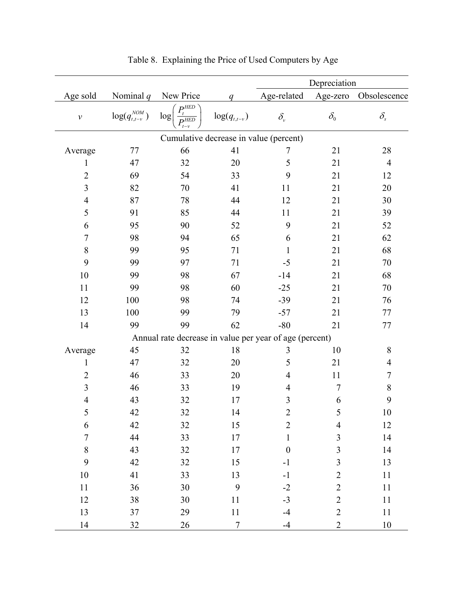|                |                        |                                                 | Depreciation         |                                                         |                                 |                  |  |
|----------------|------------------------|-------------------------------------------------|----------------------|---------------------------------------------------------|---------------------------------|------------------|--|
| Age sold       | Nominal $q$            | New Price                                       | $\boldsymbol{q}$     | Age-related                                             | Age-zero                        | Obsolescence     |  |
| $\mathcal V$   | $log(q_{t,t-v}^{NOM})$ | $P_t^{\overline{HED}}$<br>log<br>$D$ <i>HED</i> | $\log(q_{_{t,t-v}})$ | $\delta_{\rm v}$                                        | $\delta_{\scriptscriptstyle 0}$ | $\delta_{\rm s}$ |  |
|                |                        |                                                 |                      | Cumulative decrease in value (percent)                  |                                 |                  |  |
| Average        | 77                     | 66                                              | 41                   | 7                                                       | 21                              | $28\,$           |  |
| 1              | 47                     | 32                                              | 20                   | 5                                                       | 21                              | $\overline{4}$   |  |
| $\overline{2}$ | 69                     | 54                                              | 33                   | 9                                                       | 21                              | 12               |  |
| $\mathfrak{Z}$ | 82                     | 70                                              | 41                   | 11                                                      | 21                              | 20               |  |
| $\overline{4}$ | $87\,$                 | 78                                              | 44                   | 12                                                      | 21                              | 30               |  |
| 5              | 91                     | 85                                              | 44                   | 11                                                      | 21                              | 39               |  |
| 6              | 95                     | 90                                              | 52                   | 9                                                       | 21                              | 52               |  |
| $\overline{7}$ | 98                     | 94                                              | 65                   | 6                                                       | 21                              | 62               |  |
| $8\,$          | 99                     | 95                                              | 71                   | $\mathbf{1}$                                            | 21                              | 68               |  |
| 9              | 99                     | 97                                              | 71                   | $-5$                                                    | 21                              | 70               |  |
| 10             | 99                     | 98                                              | 67                   | $-14$                                                   | 21                              | 68               |  |
| 11             | 99                     | 98                                              | 60                   | $-25$                                                   | 21                              | 70               |  |
| 12             | 100                    | 98                                              | 74                   | $-39$                                                   | 21                              | 76               |  |
| 13             | 100                    | 99                                              | 79                   | $-57$                                                   | 21                              | $77\,$           |  |
| 14             | 99                     | 99                                              | 62                   | $-80$                                                   | 21                              | 77               |  |
|                |                        |                                                 |                      | Annual rate decrease in value per year of age (percent) |                                 |                  |  |
| Average        | 45                     | 32                                              | 18                   | $\overline{3}$                                          | 10                              | $\, 8$           |  |
| $\mathbf{1}$   | 47                     | 32                                              | 20                   | 5                                                       | 21                              | 4                |  |
| $\overline{2}$ | 46                     | 33                                              | 20                   | $\overline{4}$                                          | 11                              | $\tau$           |  |
| 3              | 46                     | 33                                              | 19                   | 4                                                       | $\tau$                          | $\,8\,$          |  |
| $\overline{4}$ | 43                     | 32                                              | 17                   | $\mathfrak{Z}$                                          | 6                               | 9                |  |
| 5              | 42                     | 32                                              | 14                   | $\overline{2}$                                          |                                 | 10               |  |
| 6              | 42                     | 32                                              | 15                   | $\overline{2}$                                          | $\overline{4}$                  | 12               |  |
| $\tau$         | 44                     | 33                                              | 17                   | $\mathbf{1}$                                            | 3                               | 14               |  |
| 8              | 43                     | 32                                              | 17                   | $\boldsymbol{0}$                                        | $\mathfrak{Z}$                  | 14               |  |
| 9              | 42                     | 32                                              | 15                   | $-1$                                                    | $\mathfrak{Z}$                  | 13               |  |
| $10\,$         | 41                     | 33                                              | 13                   | $-1$                                                    | $\overline{2}$                  | 11               |  |
| 11             | 36                     | 30                                              | $\boldsymbol{9}$     | $-2$                                                    | $\overline{2}$                  | $11\,$           |  |
| 12             | 38                     | 30                                              | 11                   | $-3$                                                    | $\overline{2}$                  | $11\,$           |  |
| 13             | 37                     | 29                                              | 11                   | $-4$                                                    | $\overline{c}$                  | 11               |  |
| 14             | 32                     | 26                                              | $\tau$               | $-4$                                                    | $\overline{2}$                  | $10\,$           |  |

Table 8. Explaining the Price of Used Computers by Age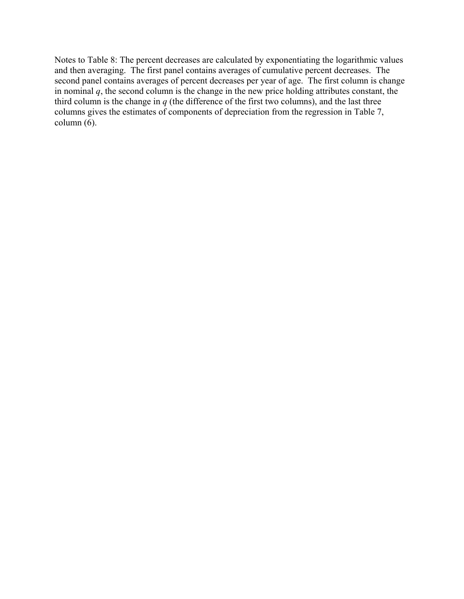Notes to Table 8: The percent decreases are calculated by exponentiating the logarithmic values and then averaging. The first panel contains averages of cumulative percent decreases. The second panel contains averages of percent decreases per year of age. The first column is change in nominal  $q$ , the second column is the change in the new price holding attributes constant, the third column is the change in  $q$  (the difference of the first two columns), and the last three columns gives the estimates of components of depreciation from the regression in Table 7, column  $(6)$ .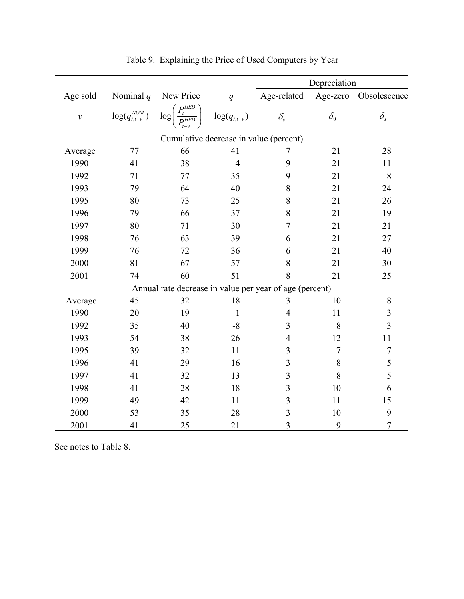|               |                        |                                                     |                     | Depreciation                                            |                                 |                  |  |  |  |
|---------------|------------------------|-----------------------------------------------------|---------------------|---------------------------------------------------------|---------------------------------|------------------|--|--|--|
| Age sold      | Nominal $q$            | New Price                                           | $\boldsymbol{q}$    | Age-related                                             | Age-zero                        | Obsolescence     |  |  |  |
| $\mathcal{V}$ | $log(q_{t,t-v}^{NOM})$ | $P^{HED}$<br>log<br>$\overline{D^{HED}}$<br>$t - v$ | $log(q_{_{t,t-v}})$ | $\delta_{\rm v}$                                        | $\delta_{\scriptscriptstyle 0}$ | $\delta_{\rm s}$ |  |  |  |
|               |                        |                                                     |                     | Cumulative decrease in value (percent)                  |                                 |                  |  |  |  |
| Average       | 77                     | 66                                                  | 41                  | 7                                                       | 21                              | 28               |  |  |  |
| 1990          | 41                     | 38                                                  | $\overline{4}$      | 9                                                       | 21                              | 11               |  |  |  |
| 1992          | 71                     | 77                                                  | $-35$               | 9                                                       | 21                              | 8                |  |  |  |
| 1993          | 79                     | 64                                                  | 40                  | 8                                                       | 21                              | 24               |  |  |  |
| 1995          | 80                     | 73                                                  | 25                  | 8                                                       | 21                              | 26               |  |  |  |
| 1996          | 79                     | 66                                                  | 37                  | 8                                                       | 21                              | 19               |  |  |  |
| 1997          | 80                     | 71                                                  | 30                  | $\overline{7}$                                          | 21                              | 21               |  |  |  |
| 1998          | 76                     | 63                                                  | 39                  | 6                                                       | 21                              | 27               |  |  |  |
| 1999          | 76                     | 72                                                  | 36                  | 6                                                       | 21                              | 40               |  |  |  |
| 2000          | 81                     | 67                                                  | 57                  | 8                                                       | 21                              | 30               |  |  |  |
| 2001          | 74                     | 60                                                  | 51                  | 8                                                       | 21                              | 25               |  |  |  |
|               |                        |                                                     |                     | Annual rate decrease in value per year of age (percent) |                                 |                  |  |  |  |
| Average       | 45                     | 32                                                  | 18                  | 3                                                       | 10                              | 8                |  |  |  |
| 1990          | 20                     | 19                                                  | $\mathbf{1}$        | $\overline{4}$                                          | 11                              | $\overline{3}$   |  |  |  |
| 1992          | 35                     | 40                                                  | $-8$                | 3                                                       | 8                               | 3                |  |  |  |
| 1993          | 54                     | 38                                                  | 26                  | $\overline{4}$                                          | 12                              | 11               |  |  |  |
| 1995          | 39                     | 32                                                  | 11                  | 3                                                       | $\overline{7}$                  | $\tau$           |  |  |  |
| 1996          | 41                     | 29                                                  | 16                  | $\overline{3}$                                          | 8                               | 5                |  |  |  |
| 1997          | 41                     | 32                                                  | 13                  | 3                                                       | 8                               | 5                |  |  |  |
| 1998          | 41                     | 28                                                  | 18                  | 3                                                       | 10                              | 6                |  |  |  |
| 1999          | 49                     | 42                                                  | 11                  | $\overline{3}$                                          | 11                              | 15               |  |  |  |
| 2000          | 53                     | 35                                                  | 28                  | $\overline{3}$                                          | 10                              | 9                |  |  |  |
| 2001          | 41                     | 25                                                  | 21                  | $\overline{3}$                                          | 9                               | $\overline{7}$   |  |  |  |

|  | Table 9. Explaining the Price of Used Computers by Year |  |  |
|--|---------------------------------------------------------|--|--|
|--|---------------------------------------------------------|--|--|

See notes to Table 8.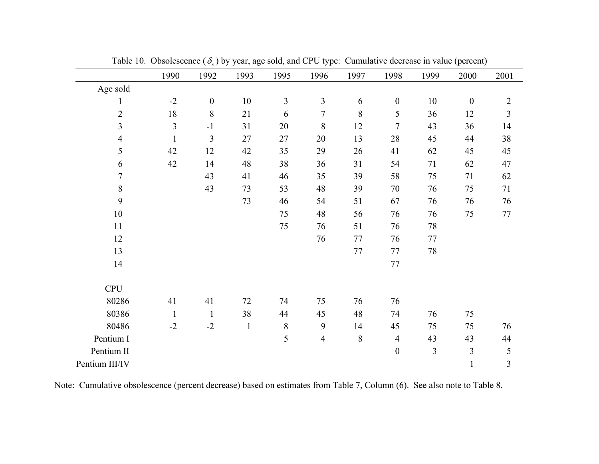|                  | 1990           | 1992             | 1993         | 1995                    | 1996           | 1997    | 1998             | 1999           | 2000             | 2001                    |
|------------------|----------------|------------------|--------------|-------------------------|----------------|---------|------------------|----------------|------------------|-------------------------|
| Age sold         |                |                  |              |                         |                |         |                  |                |                  |                         |
| $\mathbf{1}$     | $-2$           | $\boldsymbol{0}$ | $10\,$       | $\overline{\mathbf{3}}$ | $\overline{3}$ | 6       | $\boldsymbol{0}$ | $10\,$         | $\boldsymbol{0}$ | $\overline{2}$          |
| $\overline{2}$   | $18\,$         | $\,8\,$          | 21           | 6                       | $\tau$         | $8\,$   | 5                | 36             | 12               | $\overline{\mathbf{3}}$ |
| $\overline{3}$   | $\overline{3}$ | $-1$             | 31           | 20                      | 8              | 12      | $\overline{7}$   | 43             | 36               | 14                      |
| $\overline{4}$   | $\mathbf{1}$   | $\mathfrak{Z}$   | 27           | $27\,$                  | 20             | 13      | 28               | 45             | 44               | 38                      |
| 5                | 42             | 12               | 42           | 35                      | 29             | 26      | 41               | 62             | 45               | 45                      |
| 6                | 42             | 14               | 48           | 38                      | 36             | 31      | 54               | 71             | 62               | 47                      |
| $\boldsymbol{7}$ |                | 43               | 41           | 46                      | 35             | 39      | 58               | 75             | 71               | 62                      |
| $8\,$            |                | 43               | 73           | 53                      | 48             | 39      | 70               | 76             | 75               | 71                      |
| 9                |                |                  | 73           | 46                      | 54             | 51      | 67               | 76             | 76               | 76                      |
| $10\,$           |                |                  |              | 75                      | 48             | 56      | 76               | 76             | 75               | $77 \,$                 |
| 11               |                |                  |              | 75                      | 76             | 51      | 76               | $78\,$         |                  |                         |
| 12               |                |                  |              |                         | 76             | $77 \,$ | 76               | $77\,$         |                  |                         |
| 13               |                |                  |              |                         |                | $77\,$  | $77\,$           | $78\,$         |                  |                         |
| 14               |                |                  |              |                         |                |         | $77\,$           |                |                  |                         |
| <b>CPU</b>       |                |                  |              |                         |                |         |                  |                |                  |                         |
| 80286            | 41             | 41               | 72           | 74                      | 75             | 76      | 76               |                |                  |                         |
| 80386            | $\mathbf{1}$   | $\mathbf{1}$     | 38           | 44                      | 45             | 48      | 74               | 76             | $75\,$           |                         |
| 80486            | $-2$           | $-2$             | $\mathbf{1}$ | $\,8\,$                 | 9              | 14      | 45               | 75             | 75               | 76                      |
| Pentium I        |                |                  |              | 5                       | $\overline{4}$ | $\,8\,$ | $\overline{4}$   | 43             | 43               | 44                      |
| Pentium II       |                |                  |              |                         |                |         | $\boldsymbol{0}$ | $\mathfrak{Z}$ | $\mathfrak{Z}$   | 5                       |
| Pentium III/IV   |                |                  |              |                         |                |         |                  |                | $\mathbf{1}$     | $\overline{3}$          |

Table 10. Obsolescence  $(\delta_s)$  by year, age sold, and CPU type: Cumulative decrease in value (percent)

Note: Cumulative obsolescence (percent decrease) based on estimates from Table 7, Column (6). See also note to Table 8.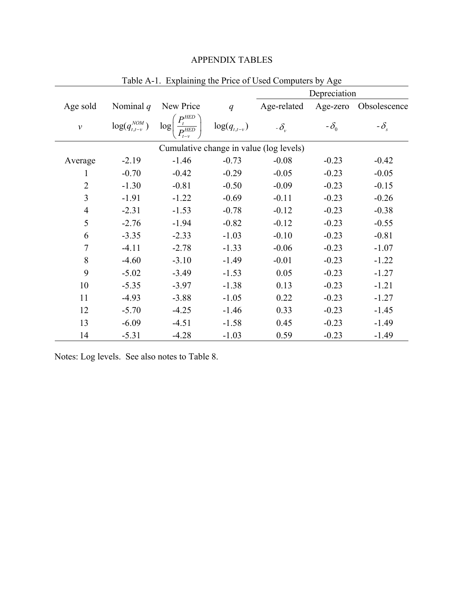|                                         |                        |                                                                  |                  | Depreciation  |             |                   |  |  |  |  |
|-----------------------------------------|------------------------|------------------------------------------------------------------|------------------|---------------|-------------|-------------------|--|--|--|--|
| Age sold                                | Nominal $q$            | New Price                                                        | q                | Age-related   | Age-zero    | Obsolescence      |  |  |  |  |
| $\mathcal{V}$                           | $log(q_{t,t-v}^{NOM})$ | $P^{HED}$<br>$\frac{t}{\textit{\textbf{D}}}$<br>log <sub>1</sub> | $log(q_{t,t-v})$ | $-\delta_{v}$ | $-\delta_0$ | $-\delta_{\rm s}$ |  |  |  |  |
| Cumulative change in value (log levels) |                        |                                                                  |                  |               |             |                   |  |  |  |  |
| Average                                 | $-2.19$                | $-1.46$                                                          | $-0.73$          | $-0.08$       | $-0.23$     | $-0.42$           |  |  |  |  |
| 1                                       | $-0.70$                | $-0.42$                                                          | $-0.29$          | $-0.05$       | $-0.23$     | $-0.05$           |  |  |  |  |
| $\overline{2}$                          | $-1.30$                | $-0.81$                                                          | $-0.50$          | $-0.09$       | $-0.23$     | $-0.15$           |  |  |  |  |
| 3                                       | $-1.91$                | $-1.22$                                                          | $-0.69$          | $-0.11$       | $-0.23$     | $-0.26$           |  |  |  |  |
| $\overline{4}$                          | $-2.31$                | $-1.53$                                                          | $-0.78$          | $-0.12$       | $-0.23$     | $-0.38$           |  |  |  |  |
| 5                                       | $-2.76$                | $-1.94$                                                          | $-0.82$          | $-0.12$       | $-0.23$     | $-0.55$           |  |  |  |  |
| 6                                       | $-3.35$                | $-2.33$                                                          | $-1.03$          | $-0.10$       | $-0.23$     | $-0.81$           |  |  |  |  |
| $\overline{7}$                          | $-4.11$                | $-2.78$                                                          | $-1.33$          | $-0.06$       | $-0.23$     | $-1.07$           |  |  |  |  |
| 8                                       | $-4.60$                | $-3.10$                                                          | $-1.49$          | $-0.01$       | $-0.23$     | $-1.22$           |  |  |  |  |
| 9                                       | $-5.02$                | $-3.49$                                                          | $-1.53$          | 0.05          | $-0.23$     | $-1.27$           |  |  |  |  |
| 10                                      | $-5.35$                | $-3.97$                                                          | $-1.38$          | 0.13          | $-0.23$     | $-1.21$           |  |  |  |  |
| 11                                      | $-4.93$                | $-3.88$                                                          | $-1.05$          | 0.22          | $-0.23$     | $-1.27$           |  |  |  |  |
| 12                                      | $-5.70$                | $-4.25$                                                          | $-1.46$          | 0.33          | $-0.23$     | $-1.45$           |  |  |  |  |
| 13                                      | $-6.09$                | $-4.51$                                                          | $-1.58$          | 0.45          | $-0.23$     | $-1.49$           |  |  |  |  |
| 14                                      | $-5.31$                | $-4.28$                                                          | $-1.03$          | 0.59          | $-0.23$     | $-1.49$           |  |  |  |  |

# APPENDIX TABLES

Table A-1. Explaining the Price of Used Computers by Age

Notes: Log levels. See also notes to Table 8.